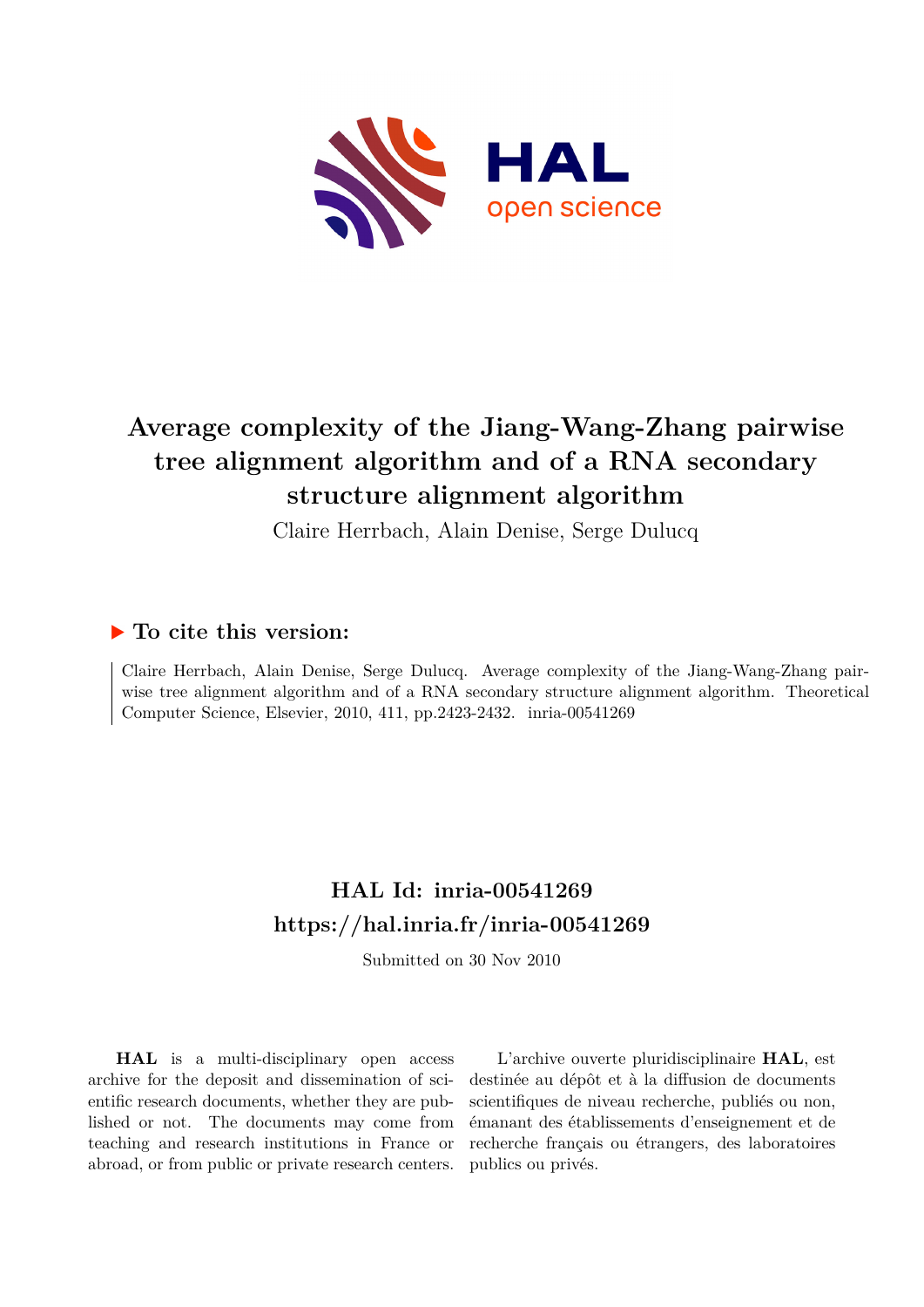

# **Average complexity of the Jiang-Wang-Zhang pairwise tree alignment algorithm and of a RNA secondary structure alignment algorithm**

Claire Herrbach, Alain Denise, Serge Dulucq

### **To cite this version:**

Claire Herrbach, Alain Denise, Serge Dulucq. Average complexity of the Jiang-Wang-Zhang pairwise tree alignment algorithm and of a RNA secondary structure alignment algorithm. Theoretical Computer Science, Elsevier, 2010, 411, pp.2423-2432. inria-00541269

## **HAL Id: inria-00541269 <https://hal.inria.fr/inria-00541269>**

Submitted on 30 Nov 2010

**HAL** is a multi-disciplinary open access archive for the deposit and dissemination of scientific research documents, whether they are published or not. The documents may come from teaching and research institutions in France or abroad, or from public or private research centers.

L'archive ouverte pluridisciplinaire **HAL**, est destinée au dépôt et à la diffusion de documents scientifiques de niveau recherche, publiés ou non, émanant des établissements d'enseignement et de recherche français ou étrangers, des laboratoires publics ou privés.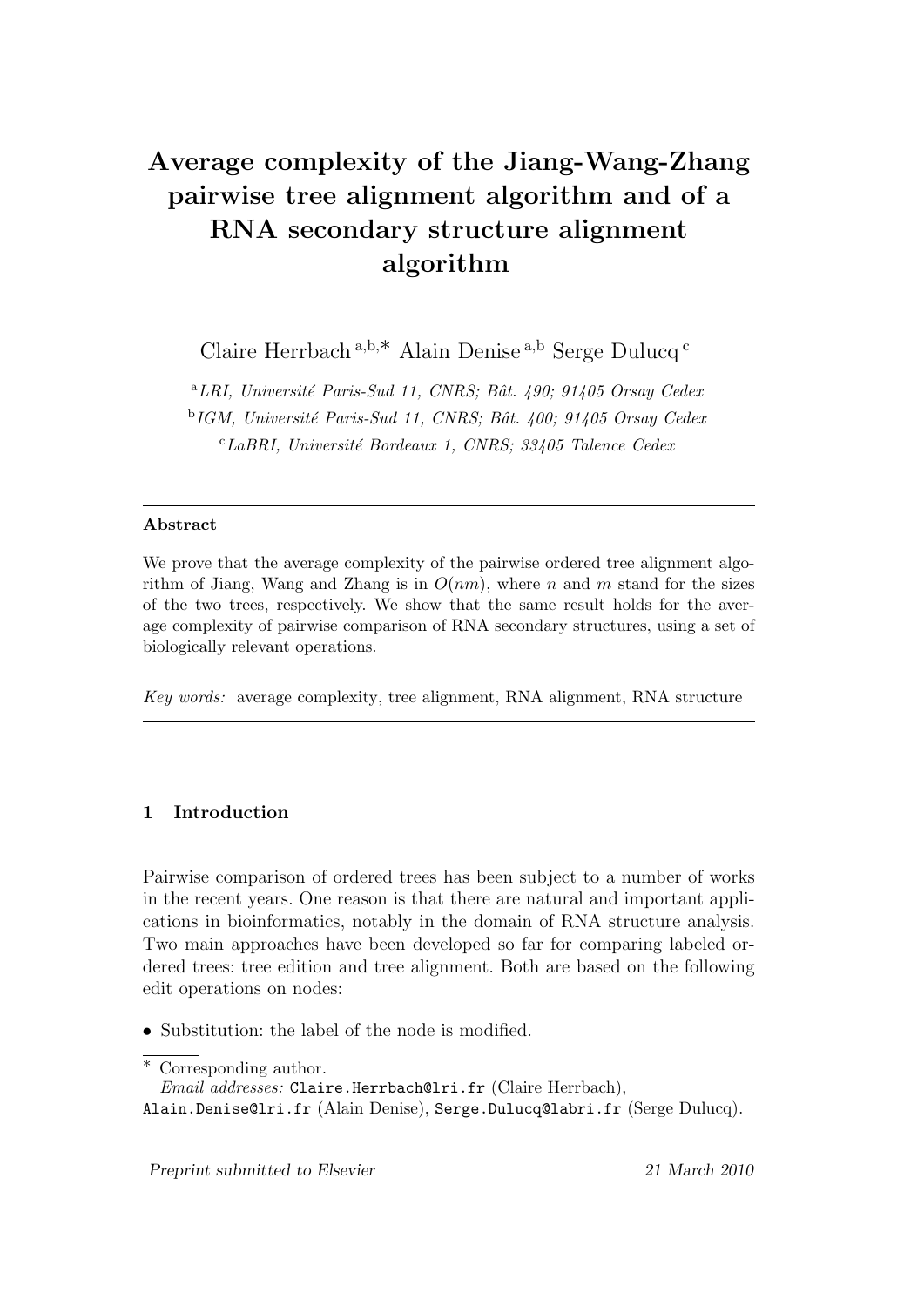# Average complexity of the Jiang-Wang-Zhang pairwise tree alignment algorithm and of a RNA secondary structure alignment algorithm

Claire Herrbach <sup>a</sup>*,*b*,*∗ Alain Denise <sup>a</sup>*,*<sup>b</sup> Serge Dulucq <sup>c</sup>

<sup>a</sup>LRI, Université Paris-Sud 11, CNRS; Bât. 490; 91405 Orsay Cedex <sup>b</sup>*IGM, Universit´e Paris-Sud 11, CNRS; Bˆat. 400; 91405 Orsay Cedex* <sup>c</sup>*LaBRI, Universit´e Bordeaux 1, CNRS; 33405 Talence Cedex*

#### Abstract

We prove that the average complexity of the pairwise ordered tree alignment algorithm of Jiang, Wang and Zhang is in  $O(nm)$ , where *n* and *m* stand for the sizes of the two trees, respectively. We show that the same result holds for the average complexity of pairwise comparison of RNA secondary structures, using a set of biologically relevant operations.

*Key words:* average complexity, tree alignment, RNA alignment, RNA structure

#### 1 Introduction

Pairwise comparison of ordered trees has been subject to a number of works in the recent years. One reason is that there are natural and important applications in bioinformatics, notably in the domain of RNA structure analysis. Two main approaches have been developed so far for comparing labeled ordered trees: tree edition and tree alignment. Both are based on the following edit operations on nodes:

• Substitution: the label of the node is modified.

∗ Corresponding author.

Alain.Denise@lri.fr (Alain Denise), Serge.Dulucq@labri.fr (Serge Dulucq).

*Email addresses:* Claire.Herrbach@lri.fr (Claire Herrbach),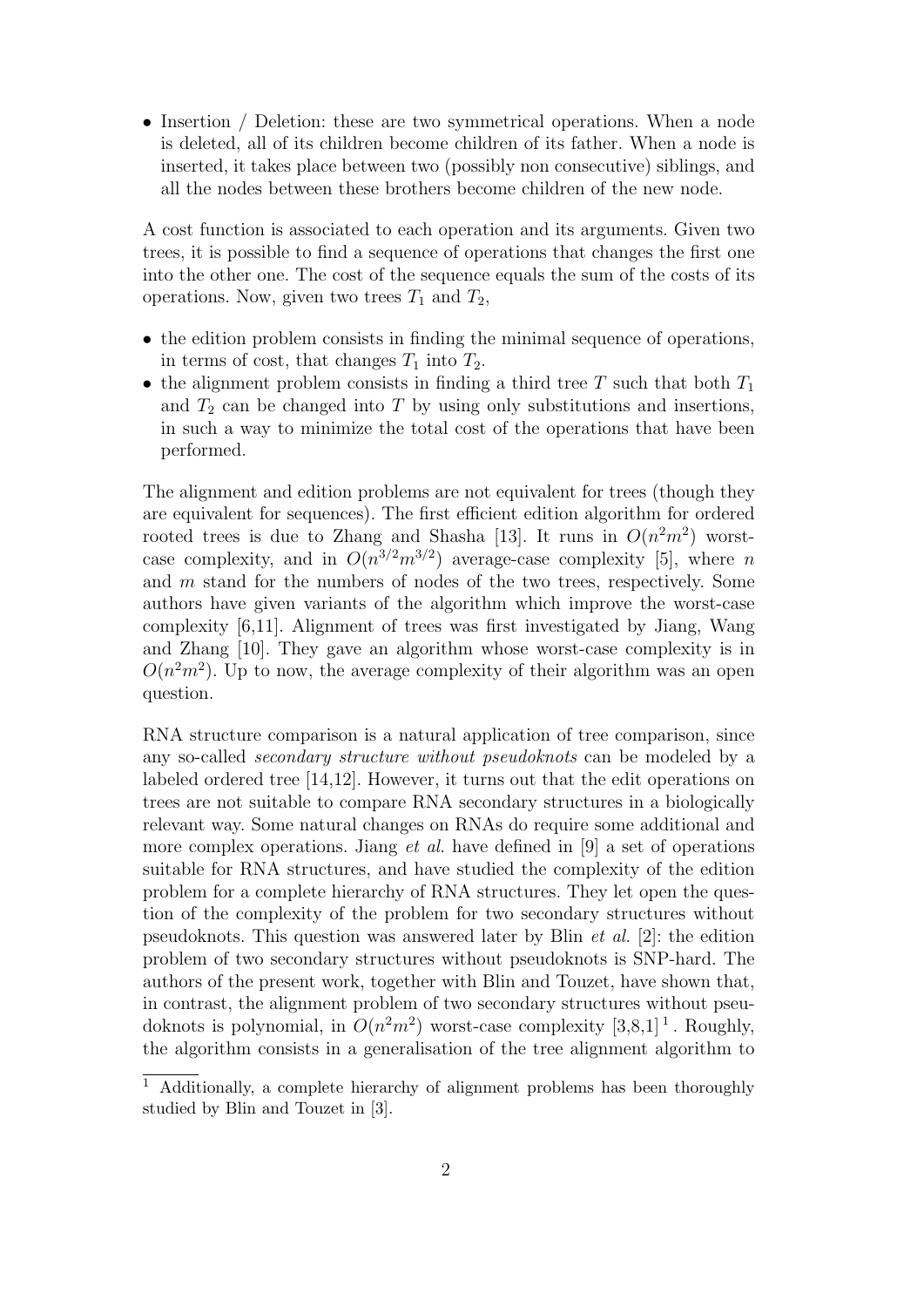• Insertion / Deletion: these are two symmetrical operations. When a node is deleted, all of its children become children of its father. When a node is inserted, it takes place between two (possibly non consecutive) siblings, and all the nodes between these brothers become children of the new node.

A cost function is associated to each operation and its arguments. Given two trees, it is possible to find a sequence of operations that changes the first one into the other one. The cost of the sequence equals the sum of the costs of its operations. Now, given two trees  $T_1$  and  $T_2$ ,

- the edition problem consists in finding the minimal sequence of operations, in terms of cost, that changes  $T_1$  into  $T_2$ .
- the alignment problem consists in finding a third tree  $T$  such that both  $T_1$ and  $T_2$  can be changed into T by using only substitutions and insertions, in such a way to minimize the total cost of the operations that have been performed.

The alignment and edition problems are not equivalent for trees (though they are equivalent for sequences). The first efficient edition algorithm for ordered rooted trees is due to Zhang and Shasha [13]. It runs in  $O(n^2m^2)$  worstcase complexity, and in  $O(n^{3/2}m^{3/2})$  average-case complexity [5], where n and m stand for the numbers of nodes of the two trees, respectively. Some authors have given variants of the algorithm which improve the worst-case complexity [6,11]. Alignment of trees was first investigated by Jiang, Wang and Zhang [10]. They gave an algorithm whose worst-case complexity is in  $O(n^2m^2)$ . Up to now, the average complexity of their algorithm was an open question.

RNA structure comparison is a natural application of tree comparison, since any so-called secondary structure without pseudoknots can be modeled by a labeled ordered tree [14,12]. However, it turns out that the edit operations on trees are not suitable to compare RNA secondary structures in a biologically relevant way. Some natural changes on RNAs do require some additional and more complex operations. Jiang *et al.* have defined in [9] a set of operations suitable for RNA structures, and have studied the complexity of the edition problem for a complete hierarchy of RNA structures. They let open the question of the complexity of the problem for two secondary structures without pseudoknots. This question was answered later by Blin *et al.* [2]: the edition problem of two secondary structures without pseudoknots is SNP-hard. The authors of the present work, together with Blin and Touzet, have shown that, in contrast, the alignment problem of two secondary structures without pseudoknots is polynomial, in  $O(n^2m^2)$  worst-case complexity [3,8,1]<sup>1</sup>. Roughly, the algorithm consists in a generalisation of the tree alignment algorithm to

<sup>&</sup>lt;sup>1</sup> Additionally, a complete hierarchy of alignment problems has been thoroughly studied by Blin and Touzet in [3].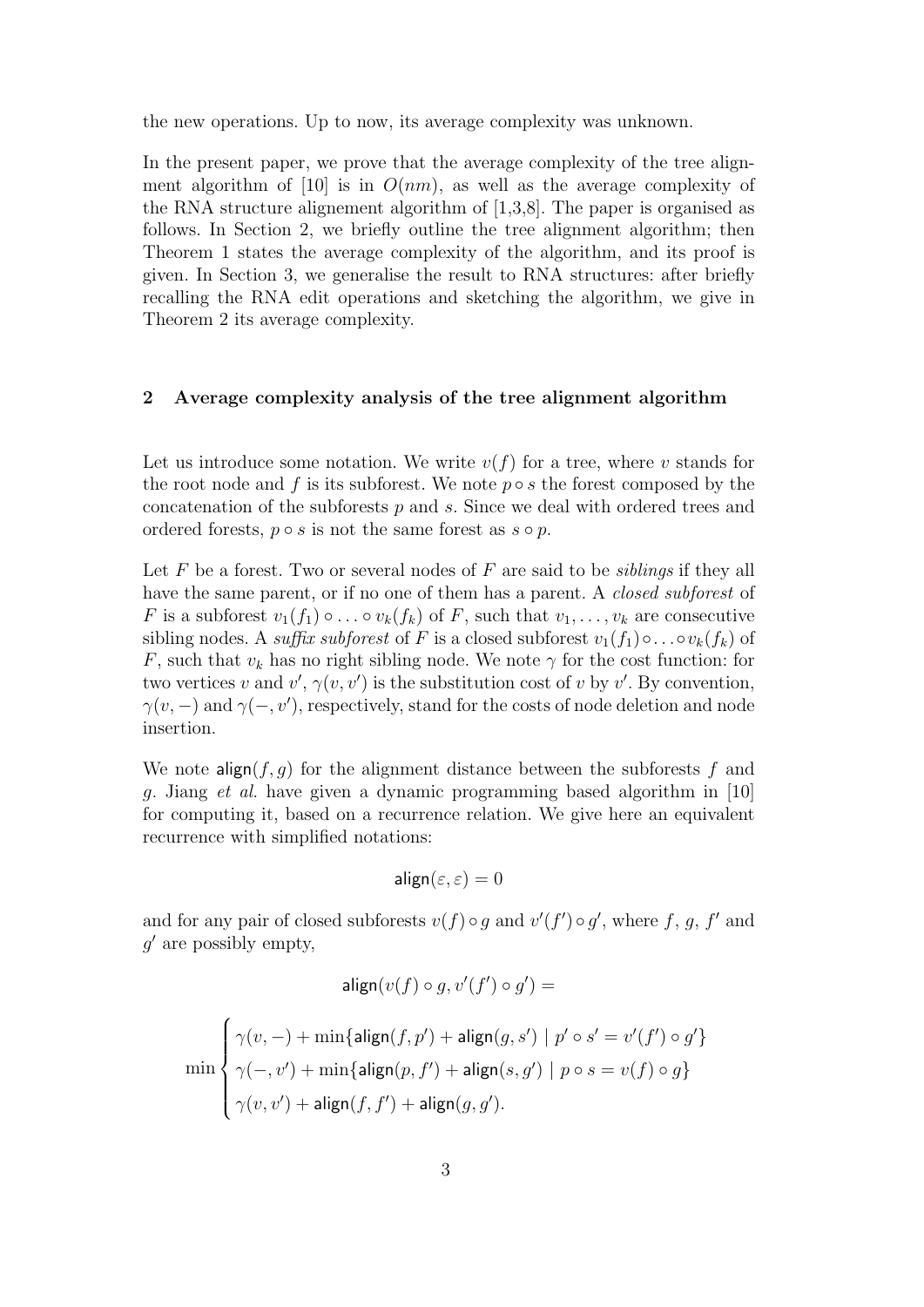the new operations. Up to now, its average complexity was unknown.

In the present paper, we prove that the average complexity of the tree alignment algorithm of [10] is in  $O(nm)$ , as well as the average complexity of the RNA structure alignement algorithm of [1,3,8]. The paper is organised as follows. In Section 2, we briefly outline the tree alignment algorithm; then Theorem 1 states the average complexity of the algorithm, and its proof is given. In Section 3, we generalise the result to RNA structures: after briefly recalling the RNA edit operations and sketching the algorithm, we give in Theorem 2 its average complexity.

#### 2 Average complexity analysis of the tree alignment algorithm

Let us introduce some notation. We write  $v(f)$  for a tree, where v stands for the root node and f is its subforest. We note  $p \circ s$  the forest composed by the concatenation of the subforests  $p$  and  $s$ . Since we deal with ordered trees and ordered forests,  $p \circ s$  is not the same forest as  $s \circ p$ .

Let  $F$  be a forest. Two or several nodes of  $F$  are said to be *siblings* if they all have the same parent, or if no one of them has a parent. A *closed subforest* of F is a subforest  $v_1(f_1) \circ \ldots \circ v_k(f_k)$  of F, such that  $v_1, \ldots, v_k$  are consecutive sibling nodes. A *suffix subforest* of F is a closed subforest  $v_1(f_1) \circ \ldots \circ v_k(f_k)$  of F, such that  $v_k$  has no right sibling node. We note  $\gamma$  for the cost function: for two vertices v and  $v', \gamma(v, v')$  is the substitution cost of v by v'. By convention,  $\gamma(v, -)$  and  $\gamma(-, v')$ , respectively, stand for the costs of node deletion and node insertion.

We note  $\text{align}(f,g)$  for the alignment distance between the subforests f and g. Jiang et al. have given a dynamic programming based algorithm in [10] for computing it, based on a recurrence relation. We give here an equivalent recurrence with simplified notations:

$$
\mathsf{align}(\varepsilon,\varepsilon)=0
$$

and for any pair of closed subforests  $v(f) \circ g$  and  $v'(f') \circ g'$ , where f, g, f' and  $q'$  are possibly empty,

$$
\text{align}(v(f) \circ g, v'(f') \circ g') =
$$

$$
\min\left\{\begin{aligned}&\gamma(v,-)+\min\{\mathsf{align}(f,p')+\mathsf{align}(g,s')\mid p'\circ s'=v'(f')\circ g'\}\\&\gamma(-,v')+\min\{\mathsf{align}(p,f')+\mathsf{align}(s,g')\mid p\circ s=v(f)\circ g\}\\&\gamma(v,v')+\mathsf{align}(f,f')+\mathsf{align}(g,g').\end{aligned}\right.
$$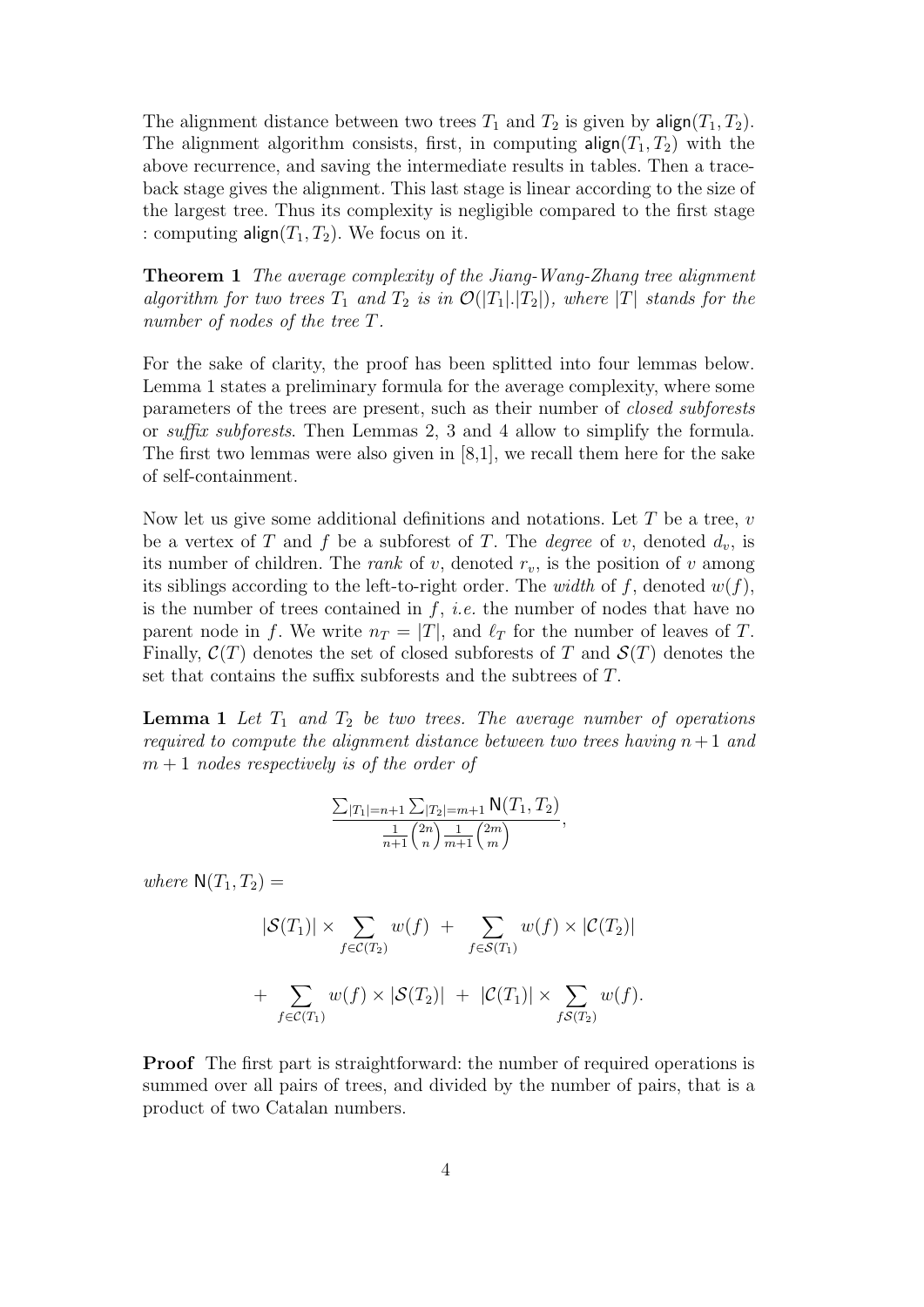The alignment distance between two trees  $T_1$  and  $T_2$  is given by align( $T_1, T_2$ ). The alignment algorithm consists, first, in computing  $\textsf{align}(T_1, T_2)$  with the above recurrence, and saving the intermediate results in tables. Then a traceback stage gives the alignment. This last stage is linear according to the size of the largest tree. Thus its complexity is negligible compared to the first stage : computing align $(T_1, T_2)$ . We focus on it.

Theorem 1 The average complexity of the Jiang-Wang-Zhang tree alignment algorithm for two trees  $T_1$  and  $T_2$  is in  $\mathcal{O}(|T_1|.|T_2|)$ , where  $|T|$  stands for the number of nodes of the tree T.

For the sake of clarity, the proof has been splitted into four lemmas below. Lemma 1 states a preliminary formula for the average complexity, where some parameters of the trees are present, such as their number of closed subforests or suffix subforests. Then Lemmas 2, 3 and 4 allow to simplify the formula. The first two lemmas were also given in [8,1], we recall them here for the sake of self-containment.

Now let us give some additional definitions and notations. Let  $T$  be a tree,  $v$ be a vertex of T and f be a subforest of T. The *degree* of v, denoted  $d_v$ , is its number of children. The *rank* of  $v$ , denoted  $r_v$ , is the position of  $v$  among its siblings according to the left-to-right order. The width of f, denoted  $w(f)$ , is the number of trees contained in  $f$ , *i.e.* the number of nodes that have no parent node in f. We write  $n_T = |T|$ , and  $\ell_T$  for the number of leaves of T. Finally,  $\mathcal{C}(T)$  denotes the set of closed subforests of T and  $\mathcal{S}(T)$  denotes the set that contains the suffix subforests and the subtrees of T.

**Lemma 1** Let  $T_1$  and  $T_2$  be two trees. The average number of operations required to compute the alignment distance between two trees having  $n+1$  and  $m+1$  nodes respectively is of the order of

$$
\frac{\sum_{|T_1|=n+1}\sum_{|T_2|=m+1} \mathsf{N}(T_1, T_2)}{\frac{1}{n+1} {2n \choose n} \frac{1}{m+1} {2m \choose m}},
$$

where  $N(T_1, T_2) =$ 

$$
|\mathcal{S}(T_1)| \times \sum_{f \in \mathcal{C}(T_2)} w(f) + \sum_{f \in \mathcal{S}(T_1)} w(f) \times |\mathcal{C}(T_2)|
$$
  
+ 
$$
\sum_{f \in \mathcal{C}(T_1)} w(f) \times |\mathcal{S}(T_2)| + |\mathcal{C}(T_1)| \times \sum_{f \mathcal{S}(T_2)} w(f).
$$

Proof The first part is straightforward: the number of required operations is summed over all pairs of trees, and divided by the number of pairs, that is a product of two Catalan numbers.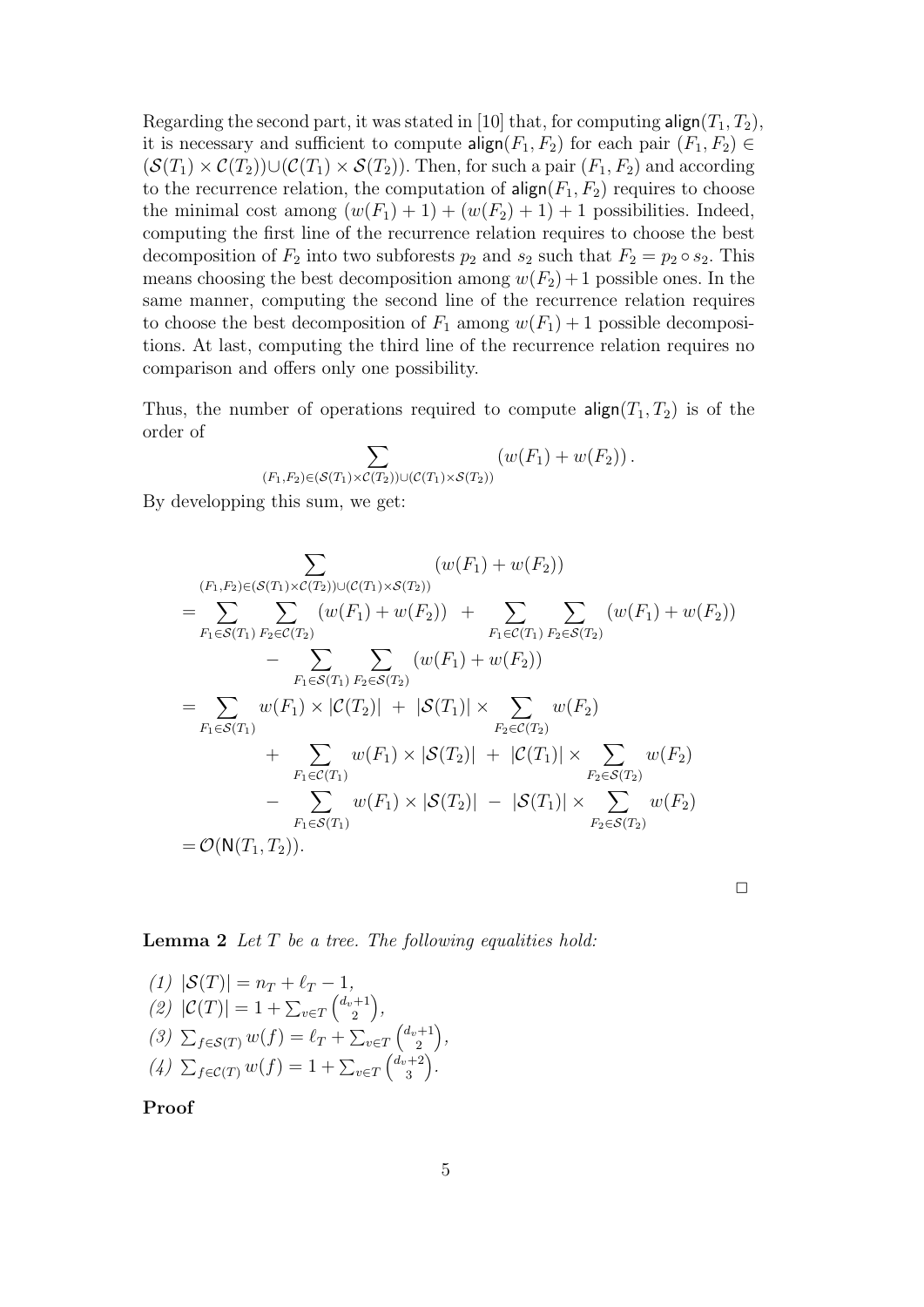Regarding the second part, it was stated in [10] that, for computing  $\mathsf{align}(T_1, T_2)$ , it is necessary and sufficient to compute  $\text{align}(F_1, F_2)$  for each pair  $(F_1, F_2) \in$  $(\mathcal{S}(T_1) \times \mathcal{C}(T_2)) \cup (\mathcal{C}(T_1) \times \mathcal{S}(T_2))$ . Then, for such a pair  $(F_1, F_2)$  and according to the recurrence relation, the computation of  $\text{align}(F_1, F_2)$  requires to choose the minimal cost among  $(w(F_1) + 1) + (w(F_2) + 1) + 1$  possibilities. Indeed, computing the first line of the recurrence relation requires to choose the best decomposition of  $F_2$  into two subforests  $p_2$  and  $s_2$  such that  $F_2 = p_2 \circ s_2$ . This means choosing the best decomposition among  $w(F_2) + 1$  possible ones. In the same manner, computing the second line of the recurrence relation requires to choose the best decomposition of  $F_1$  among  $w(F_1) + 1$  possible decompositions. At last, computing the third line of the recurrence relation requires no comparison and offers only one possibility.

Thus, the number of operations required to compute  $\textsf{align}(T_1, T_2)$  is of the order of

$$
\sum_{(F_1,F_2)\in(\mathcal{S}(T_1)\times\mathcal{C}(T_2))\cup(\mathcal{C}(T_1)\times\mathcal{S}(T_2))} (w(F_1)+w(F_2)).
$$

By developping this sum, we get:

$$
\sum_{\substack{(F_1, F_2) \in (\mathcal{S}(T_1) \times \mathcal{C}(T_2)) \cup (\mathcal{C}(T_1) \times \mathcal{S}(T_2))}} (w(F_1) + w(F_2))
$$
\n
$$
= \sum_{F_1 \in \mathcal{S}(T_1)} \sum_{F_2 \in \mathcal{C}(T_2)} (w(F_1) + w(F_2)) + \sum_{F_1 \in \mathcal{C}(T_1)} \sum_{F_2 \in \mathcal{S}(T_2)} (w(F_1) + w(F_2))
$$
\n
$$
- \sum_{F_1 \in \mathcal{S}(T_1)} \sum_{F_2 \in \mathcal{S}(T_2)} (w(F_1) + w(F_2))
$$
\n
$$
= \sum_{F_1 \in \mathcal{S}(T_1)} w(F_1) \times |\mathcal{C}(T_2)| + |\mathcal{S}(T_1)| \times \sum_{F_2 \in \mathcal{C}(T_2)} w(F_2)
$$
\n
$$
+ \sum_{F_1 \in \mathcal{C}(T_1)} w(F_1) \times |\mathcal{S}(T_2)| + |\mathcal{C}(T_1)| \times \sum_{F_2 \in \mathcal{S}(T_2)} w(F_2)
$$
\n
$$
- \sum_{F_1 \in \mathcal{S}(T_1)} w(F_1) \times |\mathcal{S}(T_2)| - |\mathcal{S}(T_1)| \times \sum_{F_2 \in \mathcal{S}(T_2)} w(F_2)
$$
\n
$$
= \mathcal{O}(\mathsf{N}(T_1, T_2)).
$$

 $\Box$ 

#### **Lemma 2** Let  $T$  be a tree. The following equalities hold:

(1) 
$$
|\mathcal{S}(T)| = n_T + \ell_T - 1
$$
,  
\n(2)  $|\mathcal{C}(T)| = 1 + \sum_{v \in T} {d_v + 1 \choose 2}$ ,  
\n(3)  $\sum_{f \in \mathcal{S}(T)} w(f) = \ell_T + \sum_{v \in T} {d_v + 1 \choose 2}$ ,  
\n(4)  $\sum_{f \in \mathcal{C}(T)} w(f) = 1 + \sum_{v \in T} {d_v + 2 \choose 3}$ .

Proof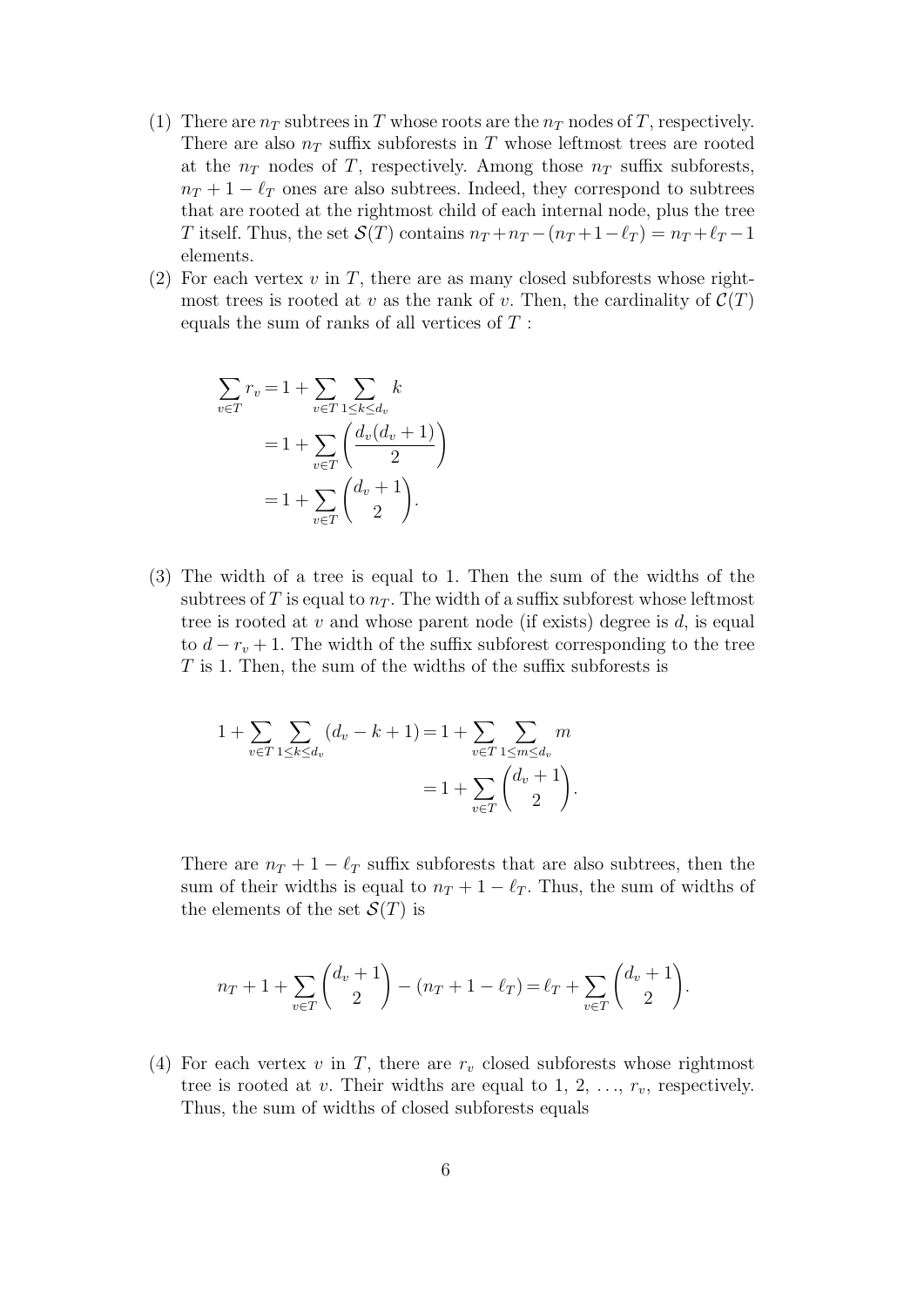- (1) There are  $n_T$  subtrees in T whose roots are the  $n_T$  nodes of T, respectively. There are also  $n<sub>T</sub>$  suffix subforests in T whose leftmost trees are rooted at the  $n_T$  nodes of T, respectively. Among those  $n_T$  suffix subforests,  $n_T + 1 - \ell_T$  ones are also subtrees. Indeed, they correspond to subtrees that are rooted at the rightmost child of each internal node, plus the tree T itself. Thus, the set  $\mathcal{S}(T)$  contains  $n_T + n_T - (n_T + 1 - \ell_T) = n_T + \ell_T - 1$ elements.
- (2) For each vertex  $v$  in  $T$ , there are as many closed subforests whose rightmost trees is rooted at v as the rank of v. Then, the cardinality of  $\mathcal{C}(T)$ equals the sum of ranks of all vertices of  $T$ :

$$
\sum_{v \in T} r_v = 1 + \sum_{v \in T} \sum_{1 \le k \le d_v} k
$$

$$
= 1 + \sum_{v \in T} \left( \frac{d_v(d_v + 1)}{2} \right)
$$

$$
= 1 + \sum_{v \in T} \left( \frac{d_v + 1}{2} \right).
$$

(3) The width of a tree is equal to 1. Then the sum of the widths of the subtrees of T is equal to  $n<sub>T</sub>$ . The width of a suffix subforest whose leftmost tree is rooted at v and whose parent node (if exists) degree is d, is equal to  $d - r_v + 1$ . The width of the suffix subforest corresponding to the tree T is 1. Then, the sum of the widths of the suffix subforests is

$$
1 + \sum_{v \in T} \sum_{1 \le k \le d_v} (d_v - k + 1) = 1 + \sum_{v \in T} \sum_{1 \le m \le d_v} m
$$
  
= 
$$
1 + \sum_{v \in T} {d_v + 1 \choose 2}.
$$

There are  $n_T + 1 - \ell_T$  suffix subforests that are also subtrees, then the sum of their widths is equal to  $n_T + 1 - \ell_T$ . Thus, the sum of widths of the elements of the set  $\mathcal{S}(T)$  is

$$
n_T + 1 + \sum_{v \in T} \binom{d_v + 1}{2} - (n_T + 1 - \ell_T) = \ell_T + \sum_{v \in T} \binom{d_v + 1}{2}.
$$

(4) For each vertex  $v$  in  $T$ , there are  $r_v$  closed subforests whose rightmost tree is rooted at v. Their widths are equal to 1, 2,  $\ldots$ ,  $r_v$ , respectively. Thus, the sum of widths of closed subforests equals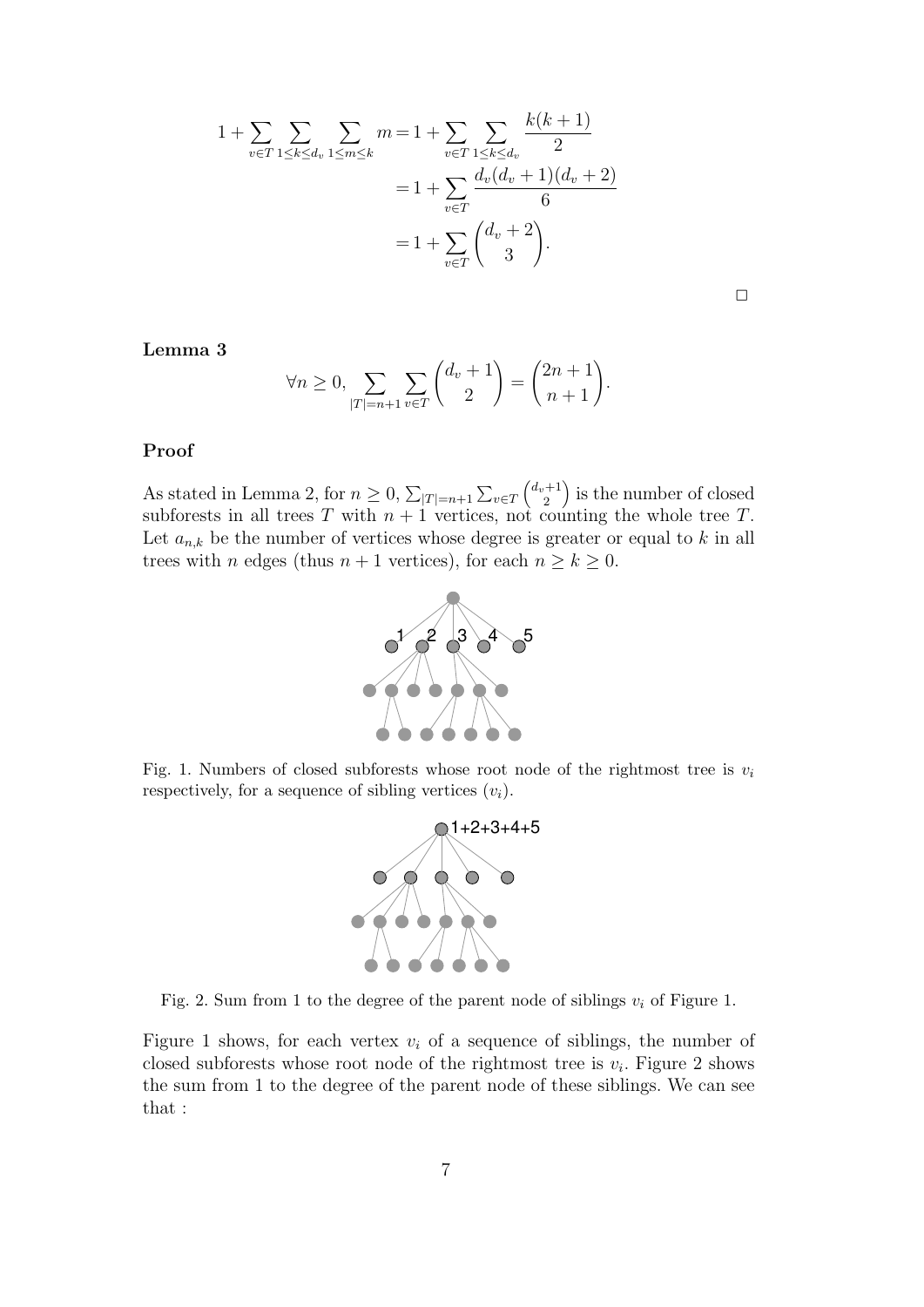$$
1 + \sum_{v \in T} \sum_{1 \le k \le d_v} \sum_{1 \le m \le k} m = 1 + \sum_{v \in T} \sum_{1 \le k \le d_v} \frac{k(k+1)}{2}
$$
  
= 
$$
1 + \sum_{v \in T} \frac{d_v(d_v + 1)(d_v + 2)}{6}
$$
  
= 
$$
1 + \sum_{v \in T} {d_v + 2 \choose 3}.
$$

Lemma 3

$$
\forall n \ge 0, \sum_{|T|=n+1} \sum_{v \in T} \binom{d_v+1}{2} = \binom{2n+1}{n+1}.
$$

#### Proof

As stated in Lemma 2, for  $n \geq 0$ ,  $\sum_{|T|=n+1} \sum_{v \in T}$  $\int$   $d_v + 1$  $\binom{+1}{2}$  is the number of closed subforests in all trees T with  $n + 1$  vertices, not counting the whole tree T. Let  $a_{n,k}$  be the number of vertices whose degree is greater or equal to k in all trees with *n* edges (thus  $n + 1$  vertices), for each  $n \ge k \ge 0$ .



Fig. 1. Numbers of closed subforests whose root node of the rightmost tree is  $v_i$ respectively, for a sequence of sibling vertices  $(v_i)$ .



Fig. 2. Sum from 1 to the degree of the parent node of siblings  $v_i$  of Figure 1.

Figure 1 shows, for each vertex  $v_i$  of a sequence of siblings, the number of closed subforests whose root node of the rightmost tree is  $v_i$ . Figure 2 shows the sum from 1 to the degree of the parent node of these siblings. We can see that :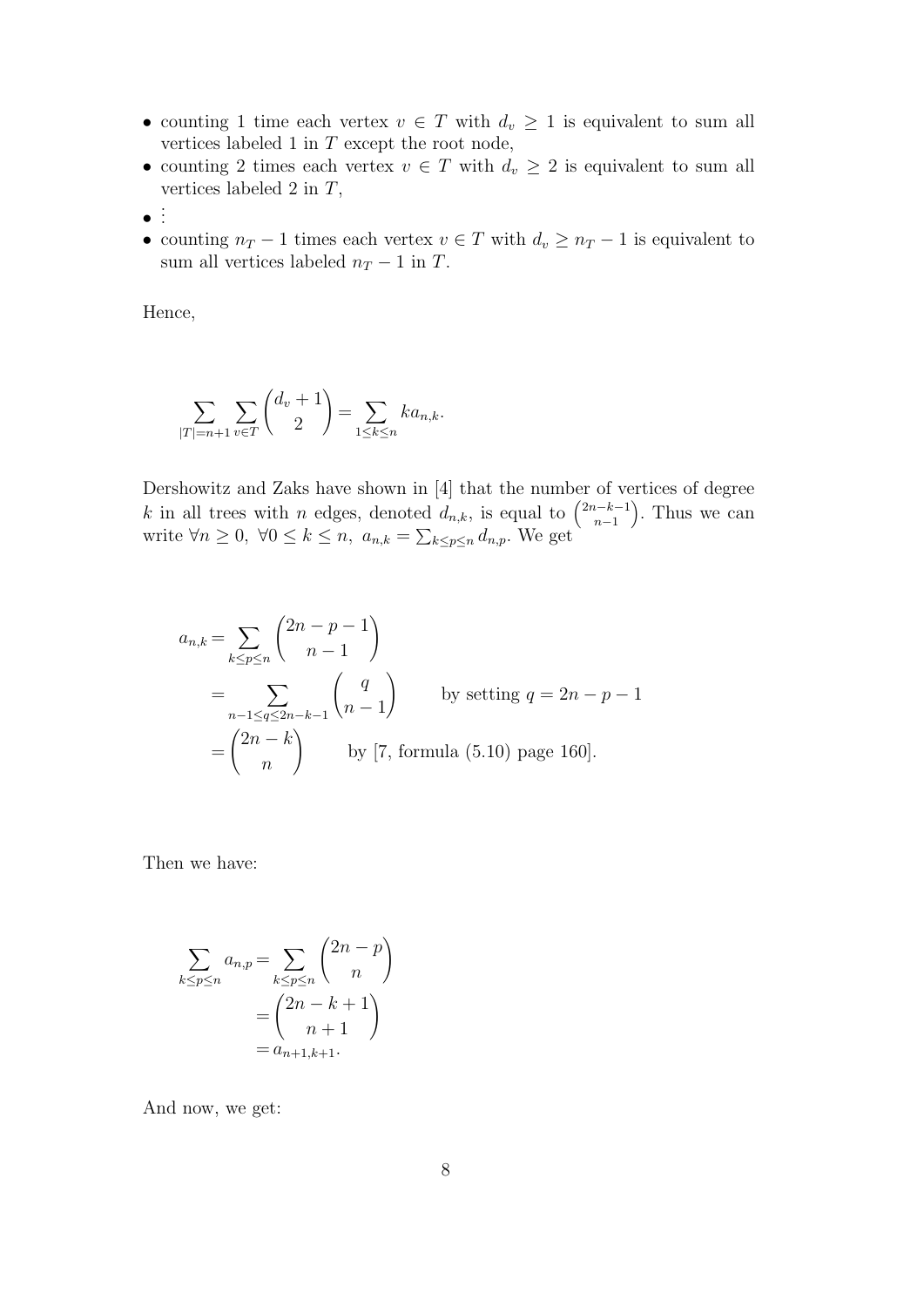- counting 1 time each vertex  $v \in T$  with  $d_v \geq 1$  is equivalent to sum all vertices labeled 1 in  $T$  except the root node,
- counting 2 times each vertex  $v \in T$  with  $d_v \geq 2$  is equivalent to sum all vertices labeled 2 in  $T$ ,
- $\bullet$  :
- counting  $n_T 1$  times each vertex  $v \in T$  with  $d_v \geq n_T 1$  is equivalent to sum all vertices labeled  $n_T - 1$  in  $T$ .

Hence,

$$
\sum_{|T|=n+1} \sum_{v \in T} \binom{d_v + 1}{2} = \sum_{1 \le k \le n} k a_{n,k}.
$$

Dershowitz and Zaks have shown in [4] that the number of vertices of degree k in all trees with n edges, denoted  $d_{n,k}$ , is equal to  $\binom{2n-k-1}{n-1}$  $\binom{n-k-1}{n-1}$ . Thus we can write  $\forall n \geq 0, \ \forall 0 \leq k \leq n, \ a_{n,k} = \sum_{k \leq p \leq n} d_{n,p}$ . We get

$$
a_{n,k} = \sum_{k \le p \le n} {2n - p - 1 \choose n - 1}
$$
  
= 
$$
\sum_{n-1 \le q \le 2n-k-1} {q \choose n - 1}
$$
 by setting  $q = 2n - p - 1$   
= 
$$
{2n - k \choose n}
$$
 by [7, formula (5.10) page 160].

Then we have:

$$
\sum_{k \le p \le n} a_{n,p} = \sum_{k \le p \le n} \binom{2n-p}{n}
$$

$$
= \binom{2n-k+1}{n+1}
$$

$$
= a_{n+1,k+1}.
$$

And now, we get: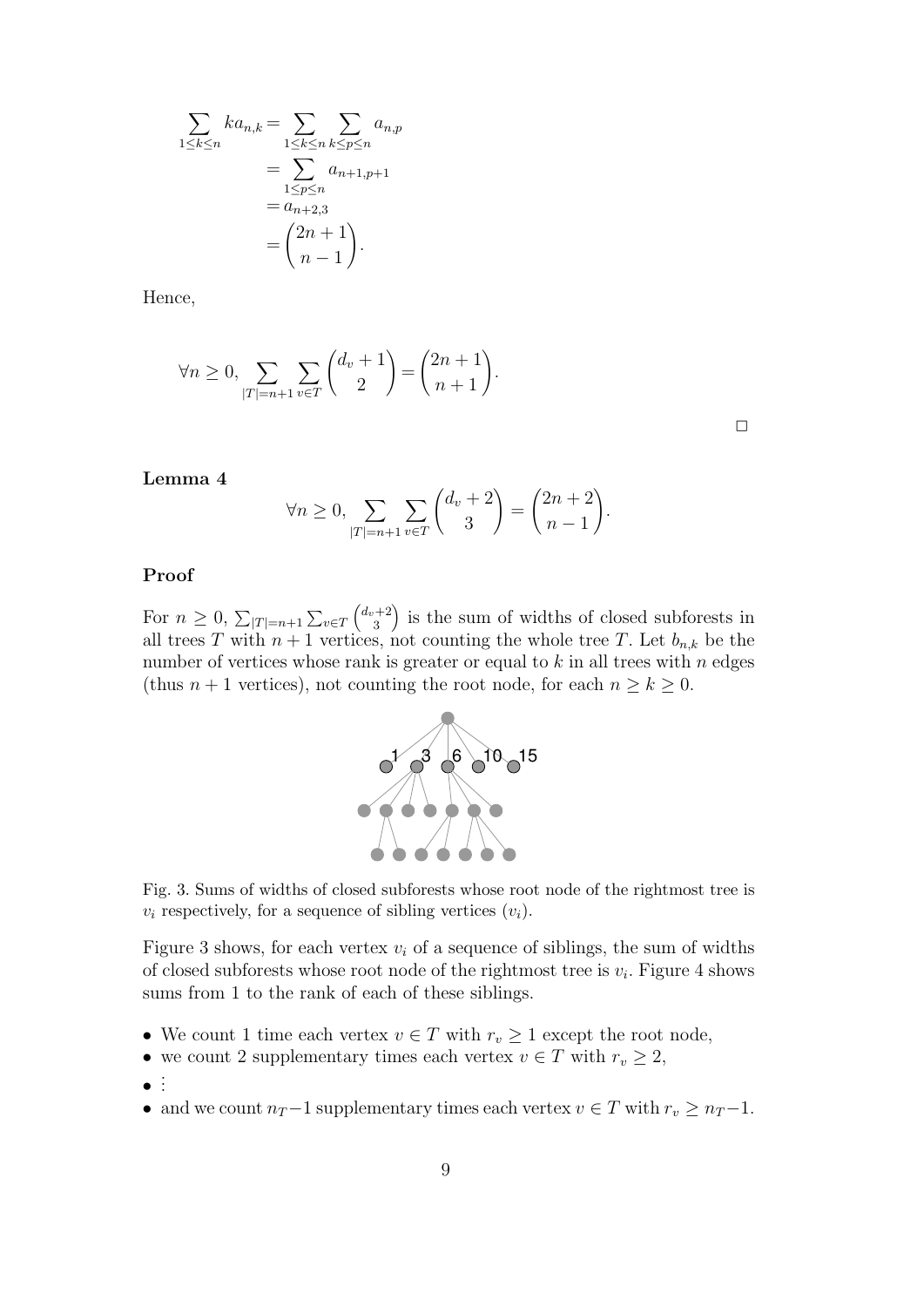$$
\sum_{1 \leq k \leq n} ka_{n,k} = \sum_{1 \leq k \leq n} \sum_{k \leq p \leq n} a_{n,p}
$$

$$
= \sum_{1 \leq p \leq n} a_{n+1,p+1}
$$

$$
= a_{n+2,3}
$$

$$
= \binom{2n+1}{n-1}.
$$

Hence,

$$
\forall n \ge 0, \sum_{|T|=n+1} \sum_{v \in T} \binom{d_v+1}{2} = \binom{2n+1}{n+1}.
$$

 $\Box$ 

#### Lemma 4

$$
\forall n \ge 0, \sum_{|T|=n+1} \sum_{v \in T} \binom{d_v+2}{3} = \binom{2n+2}{n-1}.
$$

#### Proof

For  $n \geq 0$ ,  $\sum_{|T|=n+1} \sum_{v \in T}$  $\int$ *d<sub>v</sub>* + 2  $\binom{+2}{3}$  is the sum of widths of closed subforests in all trees T with  $n+1$  vertices, not counting the whole tree T. Let  $b_{n,k}$  be the number of vertices whose rank is greater or equal to  $k$  in all trees with  $n$  edges (thus  $n + 1$  vertices), not counting the root node, for each  $n \geq k \geq 0$ .



Fig. 3. Sums of widths of closed subforests whose root node of the rightmost tree is  $v_i$  respectively, for a sequence of sibling vertices  $(v_i)$ .

Figure 3 shows, for each vertex  $v_i$  of a sequence of siblings, the sum of widths of closed subforests whose root node of the rightmost tree is  $v_i$ . Figure 4 shows sums from 1 to the rank of each of these siblings.

- We count 1 time each vertex  $v \in T$  with  $r_v \geq 1$  except the root node,
- we count 2 supplementary times each vertex  $v \in T$  with  $r_v \geq 2$ ,
- $\bullet$ . .
- and we count  $n_T-1$  supplementary times each vertex  $v \in T$  with  $r_v \geq n_T-1$ .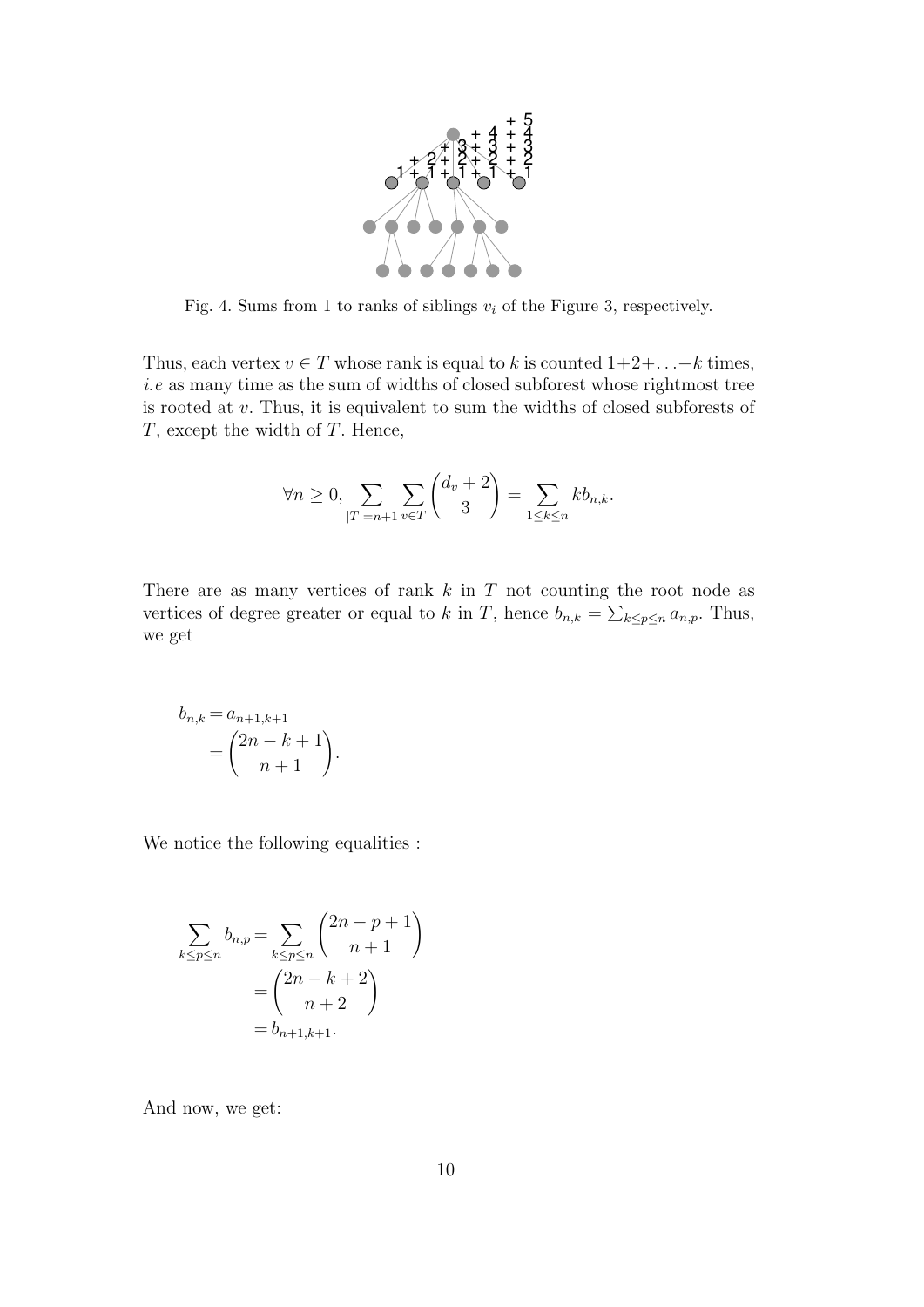

Fig. 4. Sums from 1 to ranks of siblings  $v_i$  of the Figure 3, respectively.

Thus, each vertex  $v \in T$  whose rank is equal to k is counted  $1+2+\ldots+k$  times, i.e as many time as the sum of widths of closed subforest whose rightmost tree is rooted at v. Thus, it is equivalent to sum the widths of closed subforests of T, except the width of T. Hence,

$$
\forall n \ge 0, \sum_{|T|=n+1} \sum_{v \in T} \binom{d_v + 2}{3} = \sum_{1 \le k \le n} k b_{n,k}.
$$

There are as many vertices of rank  $k$  in  $T$  not counting the root node as vertices of degree greater or equal to k in T, hence  $b_{n,k} = \sum_{k \leq p \leq n} a_{n,p}$ . Thus, we get

$$
b_{n,k} = a_{n+1,k+1}
$$

$$
= \binom{2n-k+1}{n+1}.
$$

We notice the following equalities :

$$
\sum_{k \le p \le n} b_{n,p} = \sum_{k \le p \le n} {2n - p + 1 \choose n+1} \\
= {2n - k + 2 \choose n+2} \\
= b_{n+1,k+1}.
$$

And now, we get: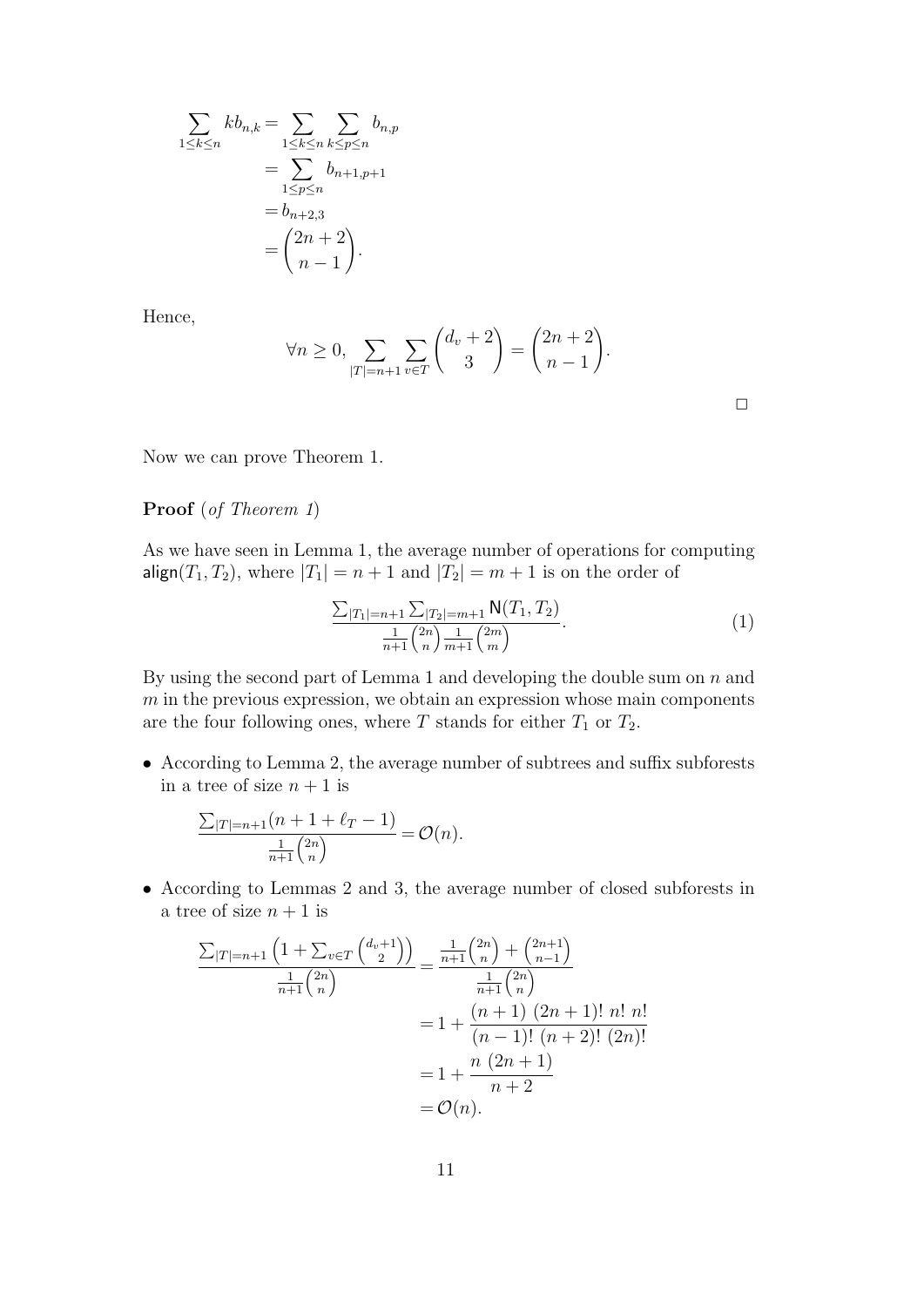$$
\sum_{1 \le k \le n} k b_{n,k} = \sum_{1 \le k \le n} \sum_{k \le p \le n} b_{n,p}
$$
  
= 
$$
\sum_{1 \le p \le n} b_{n+1,p+1}
$$
  
= 
$$
b_{n+2,3}
$$
  
= 
$$
{2n + 2 \choose n - 1}.
$$

Hence,

$$
\forall n \ge 0, \sum_{|T|=n+1} \sum_{v \in T} \binom{d_v+2}{3} = \binom{2n+2}{n-1}.
$$

| ____ |  |
|------|--|

Now we can prove Theorem 1.

#### Proof (of Theorem 1)

As we have seen in Lemma 1, the average number of operations for computing  $align(T_1, T_2)$ , where  $|T_1| = n + 1$  and  $|T_2| = m + 1$  is on the order of

$$
\frac{\sum_{|T_1|=n+1}\sum_{|T_2|=m+1} \mathsf{N}(T_1, T_2)}{\frac{1}{n+1} {2n \choose n} \frac{1}{m+1} {2m \choose m}}.
$$
\n(1)

By using the second part of Lemma 1 and developing the double sum on  $n$  and  $m$  in the previous expression, we obtain an expression whose main components are the four following ones, where T stands for either  $T_1$  or  $T_2$ .

• According to Lemma 2, the average number of subtrees and suffix subforests in a tree of size  $n + 1$  is

$$
\frac{\sum_{|T|=n+1} (n+1+\ell_T-1)}{\frac{1}{n+1} {2n \choose n}} = \mathcal{O}(n).
$$

• According to Lemmas 2 and 3, the average number of closed subforests in a tree of size  $n + 1$  is

$$
\frac{\sum_{|T|=n+1} \left(1 + \sum_{v \in T} {d_v + 1 \choose 2}\right)}{\frac{1}{n+1} {2n \choose n}} = \frac{\frac{1}{n+1} {2n \choose n} + {2n+1 \choose n-1}}{\frac{1}{n+1} {2n \choose n}}
$$

$$
= 1 + \frac{(n+1) (2n+1)! n! n!}{(n-1)! (n+2)! (2n)!}
$$

$$
= 1 + \frac{n (2n+1)}{n+2}
$$

$$
= \mathcal{O}(n).
$$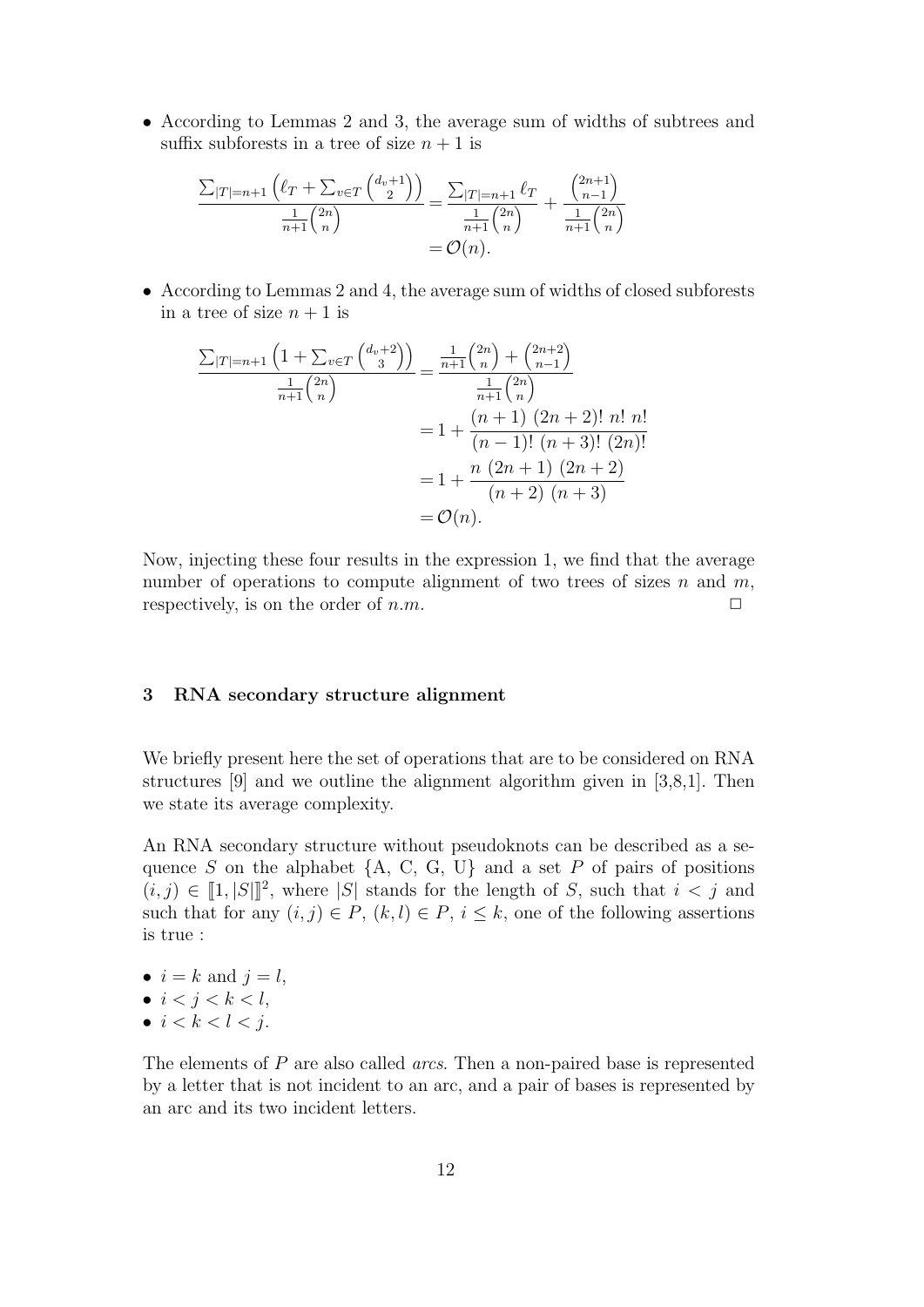• According to Lemmas 2 and 3, the average sum of widths of subtrees and suffix subforests in a tree of size  $n + 1$  is

$$
\frac{\sum_{|T|=n+1} (\ell_T + \sum_{v \in T} {\binom{d_v+1}{2}})}{\frac{1}{n+1} \binom{2n}{n}} = \frac{\sum_{|T|=n+1} \ell_T}{\frac{1}{n+1} \binom{2n}{n}} + \frac{\binom{2n+1}{n-1}}{\frac{1}{n+1} \binom{2n}{n}} = \mathcal{O}(n).
$$

• According to Lemmas 2 and 4, the average sum of widths of closed subforests in a tree of size  $n + 1$  is

$$
\frac{\sum_{|T|=n+1} \left(1 + \sum_{v \in T} {d_v + 2 \choose 3}\right)}{\frac{1}{n+1} {2n \choose n}} = \frac{\frac{1}{n+1} {2n \choose n} + {2n+2 \choose n-1}}{\frac{1}{n+1} {2n \choose n}}
$$

$$
= 1 + \frac{(n+1) (2n+2)! n! n!}{(n-1)! (n+3)! (2n)!}
$$

$$
= 1 + \frac{n (2n+1) (2n+2)}{(n+2) (n+3)}
$$

$$
= \mathcal{O}(n).
$$

Now, injecting these four results in the expression 1, we find that the average number of operations to compute alignment of two trees of sizes  $n$  and  $m$ , respectively, is on the order of  $n.m$ .  $\Box$ 

#### 3 RNA secondary structure alignment

We briefly present here the set of operations that are to be considered on RNA structures [9] and we outline the alignment algorithm given in [3,8,1]. Then we state its average complexity.

An RNA secondary structure without pseudoknots can be described as a sequence S on the alphabet  ${A, C, G, U}$  and a set P of pairs of positions  $(i, j) \in [1, |S|]^2$ , where |S| stands for the length of S, such that  $i < j$  and such that for any  $(i, j) \in P$ ,  $(k, l) \in P$ ,  $i \leq k$ , one of the following assertions is true :

- $i = k$  and  $j = l$ ,
- $i < j < k < l$ ,
- $i < k < l < j$ .

The elements of P are also called *arcs*. Then a non-paired base is represented by a letter that is not incident to an arc, and a pair of bases is represented by an arc and its two incident letters.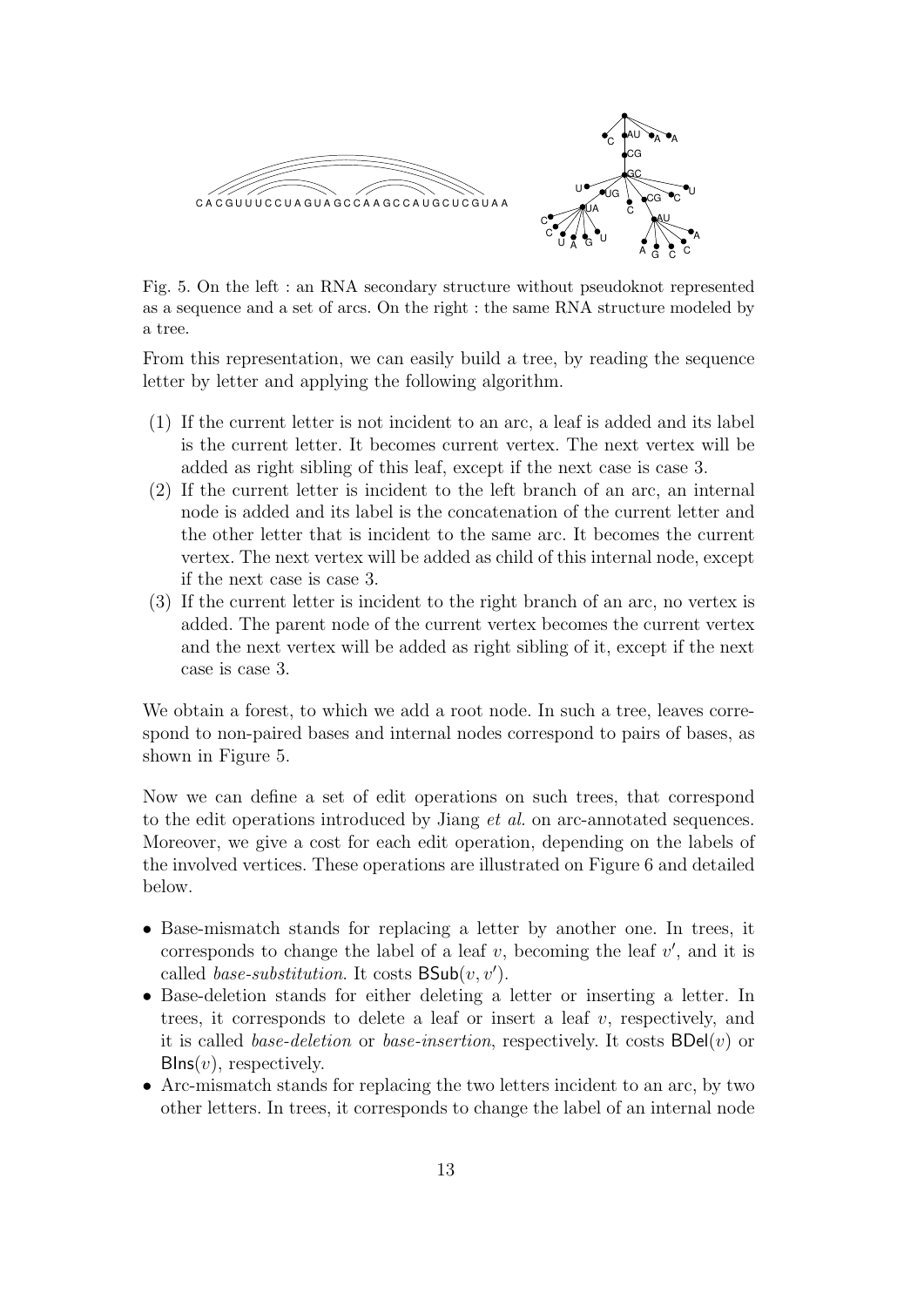

Fig. 5. On the left : an RNA secondary structure without pseudoknot represented as a sequence and a set of arcs. On the right : the same RNA structure modeled by a tree.

From this representation, we can easily build a tree, by reading the sequence letter by letter and applying the following algorithm.

- (1) If the current letter is not incident to an arc, a leaf is added and its label is the current letter. It becomes current vertex. The next vertex will be added as right sibling of this leaf, except if the next case is case 3.
- (2) If the current letter is incident to the left branch of an arc, an internal node is added and its label is the concatenation of the current letter and the other letter that is incident to the same arc. It becomes the current vertex. The next vertex will be added as child of this internal node, except if the next case is case 3.
- (3) If the current letter is incident to the right branch of an arc, no vertex is added. The parent node of the current vertex becomes the current vertex and the next vertex will be added as right sibling of it, except if the next case is case 3.

We obtain a forest, to which we add a root node. In such a tree, leaves correspond to non-paired bases and internal nodes correspond to pairs of bases, as shown in Figure 5.

Now we can define a set of edit operations on such trees, that correspond to the edit operations introduced by Jiang et al. on arc-annotated sequences. Moreover, we give a cost for each edit operation, depending on the labels of the involved vertices. These operations are illustrated on Figure 6 and detailed below.

- Base-mismatch stands for replacing a letter by another one. In trees, it corresponds to change the label of a leaf  $v$ , becoming the leaf  $v'$ , and it is called *base-substitution*. It costs  $\mathsf{BSub}(v, v')$ .
- Base-deletion stands for either deleting a letter or inserting a letter. In trees, it corresponds to delete a leaf or insert a leaf  $v$ , respectively, and it is called *base-deletion* or *base-insertion*, respectively. It costs  $BDel(v)$  or  $\mathsf{Blns}(v)$ , respectively.
- Arc-mismatch stands for replacing the two letters incident to an arc, by two other letters. In trees, it corresponds to change the label of an internal node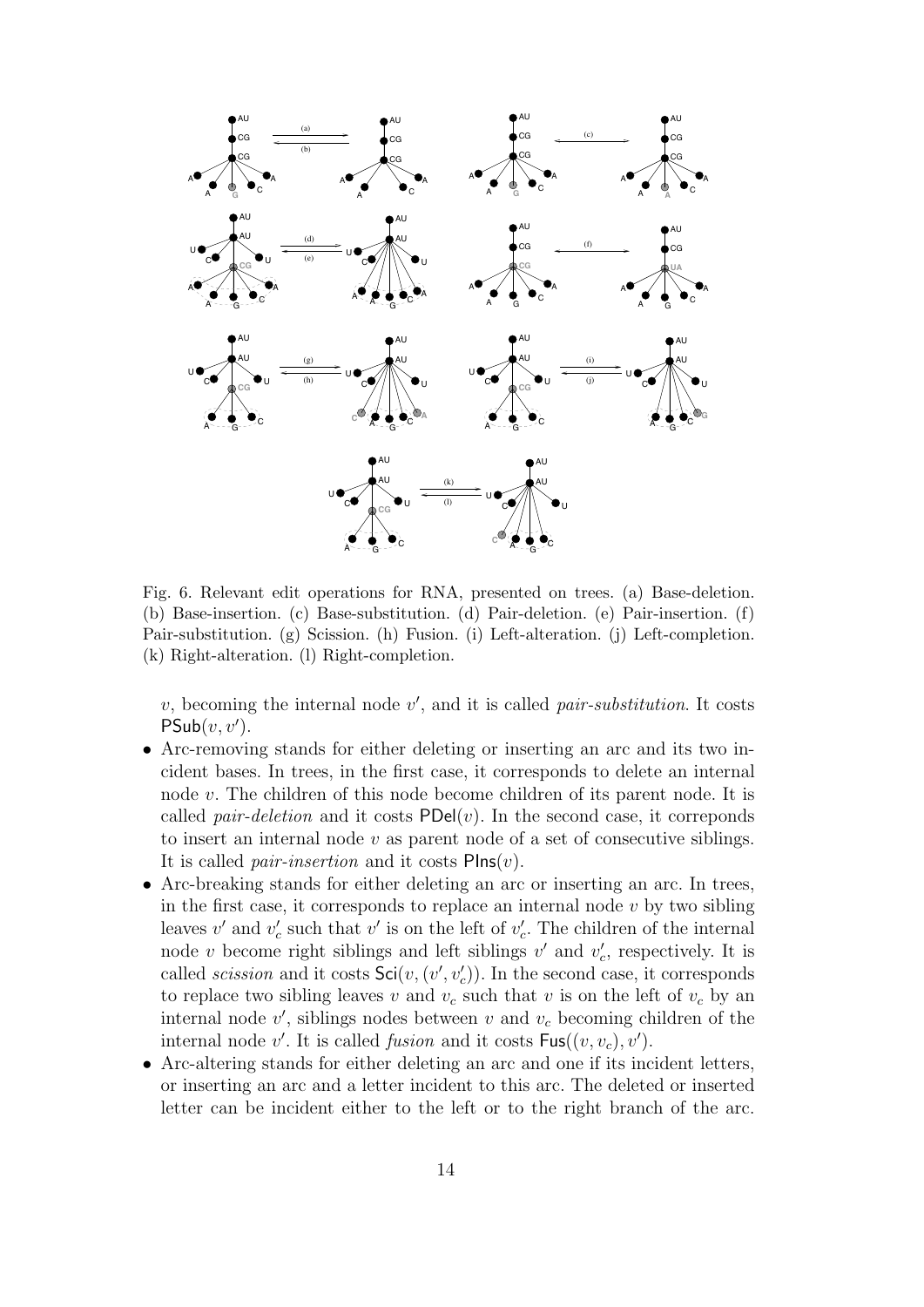

Fig. 6. Relevant edit operations for RNA, presented on trees. (a) Base-deletion. (b) Base-insertion. (c) Base-substitution. (d) Pair-deletion. (e) Pair-insertion. (f) Pair-substitution. (g) Scission. (h) Fusion. (i) Left-alteration. (j) Left-completion. (k) Right-alteration. (l) Right-completion.

 $v$ , becoming the internal node  $v'$ , and it is called *pair-substitution*. It costs  $\mathsf{PSub}(v, v').$ 

- Arc-removing stands for either deleting or inserting an arc and its two incident bases. In trees, in the first case, it corresponds to delete an internal node v. The children of this node become children of its parent node. It is called *pair-deletion* and it costs  $PDel(v)$ . In the second case, it correponds to insert an internal node  $v$  as parent node of a set of consecutive siblings. It is called *pair-insertion* and it costs  $\text{Plns}(v)$ .
- Arc-breaking stands for either deleting an arc or inserting an arc. In trees, in the first case, it corresponds to replace an internal node  $v$  by two sibling leaves  $v'$  and  $v'_{c}$  such that  $v'$  is on the left of  $v'_{c}$ . The children of the internal node v become right siblings and left siblings  $v'$  and  $v'_{c}$ , respectively. It is called *scission* and it costs  $\mathsf{Sci}(v,(v',v'_{c}))$ . In the second case, it corresponds to replace two sibling leaves v and  $v_c$  such that v is on the left of  $v_c$  by an  $\frac{1}{v}$  internal node  $v'$ , siblings nodes between v and  $v_c$  becoming children of the internal node  $v'$ . It is called *fusion* and it costs  $\mathsf{Fus}((v, v_c), v')$ .
- Arc-altering stands for either deleting an arc and one if its incident letters, or inserting an arc and a letter incident to this arc. The deleted or inserted letter can be incident either to the left or to the right branch of the arc.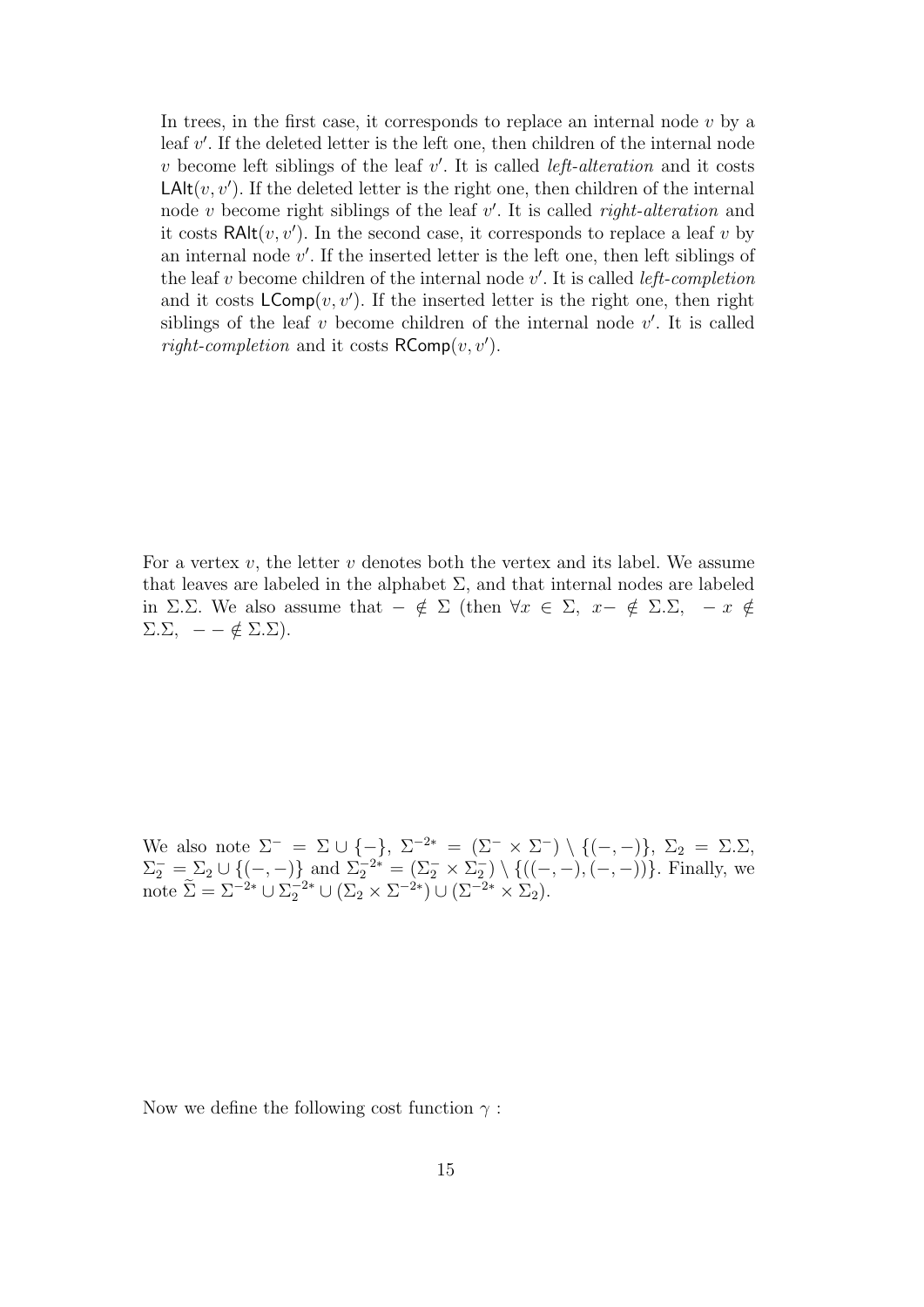In trees, in the first case, it corresponds to replace an internal node  $v$  by a leaf  $v'$ . If the deleted letter is the left one, then children of the internal node v become left siblings of the leaf  $v'$ . It is called *left-alteration* and it costs  $\mathsf{LAlt}(v, v')$ . If the deleted letter is the right one, then children of the internal node v become right siblings of the leaf  $v'$ . It is called *right-alteration* and it costs  $\text{RAlt}(v, v')$ . In the second case, it corresponds to replace a leaf v by an internal node  $v'$ . If the inserted letter is the left one, then left siblings of the leaf v become children of the internal node  $v'$ . It is called *left-completion* and it costs  $\mathsf{LComp}(v, v')$ . If the inserted letter is the right one, then right siblings of the leaf  $v$  become children of the internal node  $v'$ . It is called *right-completion* and it costs  $\mathsf{RComp}(v, v')$ .

For a vertex  $v$ , the letter  $v$  denotes both the vertex and its label. We assume that leaves are labeled in the alphabet  $\Sigma$ , and that internal nodes are labeled in Σ.Σ. We also assume that  $-\notin \Sigma$  (then  $\forall x \in \Sigma$ ,  $x-\notin \Sigma$ . $\Sigma$ ,  $-x \notin$  $\Sigma \Sigma$ ,  $- - \notin \Sigma \Sigma$ ).

We also note  $\Sigma^- = \Sigma \cup \{-\}, \ \Sigma^{-2*} = (\Sigma^- \times \Sigma^-) \setminus \{(-,-)\}, \ \Sigma_2 = \Sigma \Sigma$ ,  $\Sigma_2^- = \Sigma_2 \cup \{(-,-)\}\$  and  $\Sigma_2^{-2*} = (\Sigma_2^- \times \Sigma_2^-) \setminus \{((-,-),(-,-))\}\$ . Finally, we note  $\widetilde{\Sigma} = \Sigma^{-2*} \cup \Sigma_2^{-2*} \cup (\Sigma_2 \times \Sigma^{-2*}) \cup (\Sigma^{-2*} \times \Sigma_2).$ 

Now we define the following cost function  $\gamma$ :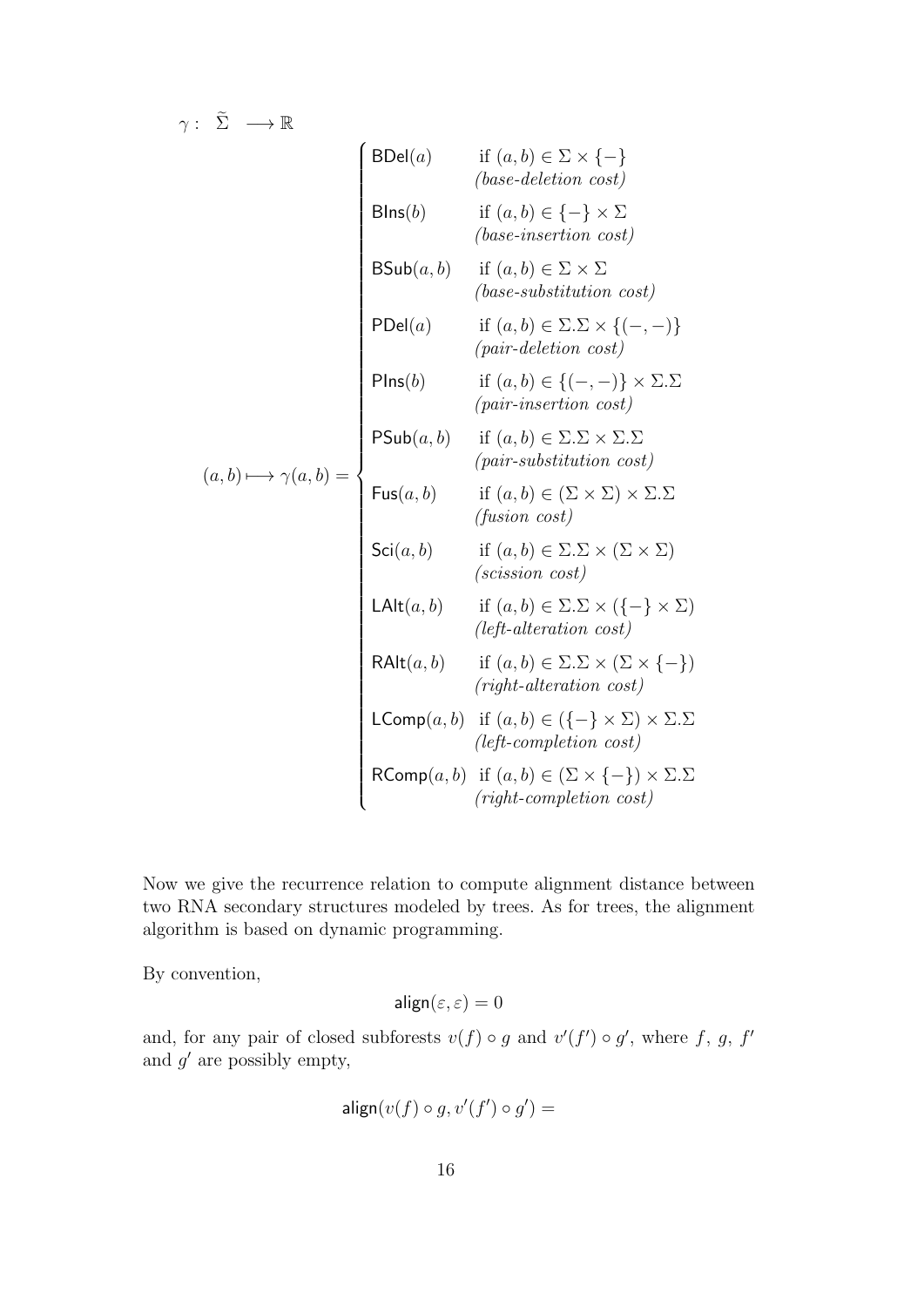$\gamma: \tilde{\Sigma} \longrightarrow \mathbb{R}$ 

(a, b)+−→ γ(a, b) = BDel(a) if (a, b) ∈ Σ × {−} (base-deletion cost) BIns(b) if (a, b) ∈ {−} × Σ (base-insertion cost) BSub(a, b) if (a, b) ∈ Σ × Σ (base-substitution cost) PDel(a) if (a, b) ∈ Σ.Σ × {(−, −)} (pair-deletion cost) PIns(b) if (a, b) ∈ {(−, −)} × Σ.Σ (pair-insertion cost) PSub(a, b) if (a, b) ∈ Σ.Σ × Σ.Σ (pair-substitution cost) Fus(a, b) if (a, b) ∈ (Σ × Σ) × Σ.Σ (fusion cost) Sci(a, b) if (a, b) ∈ Σ.Σ × (Σ × Σ) (scission cost) LAlt(a, b) if (a, b) ∈ Σ.Σ × ({−} × Σ) (left-alteration cost) RAlt(a, b) if (a, b) ∈ Σ.Σ × (Σ × {−}) (right-alteration cost) LComp(a, b) if (a, b) ∈ ({−} × Σ) × Σ.Σ (left-completion cost) RComp(a, b) if (a, b) ∈ (Σ × {−}) × Σ.Σ (right-completion cost)

Now we give the recurrence relation to compute alignment distance between two RNA secondary structures modeled by trees. As for trees, the alignment algorithm is based on dynamic programming.

By convention,

$$
\mathsf{align}(\varepsilon,\varepsilon)=0
$$

and, for any pair of closed subforests  $v(f) \circ g$  and  $v'(f') \circ g'$ , where f, g, f' and  $g'$  are possibly empty,

$$
\mathsf{align}(v(f) \circ g, v'(f') \circ g') =
$$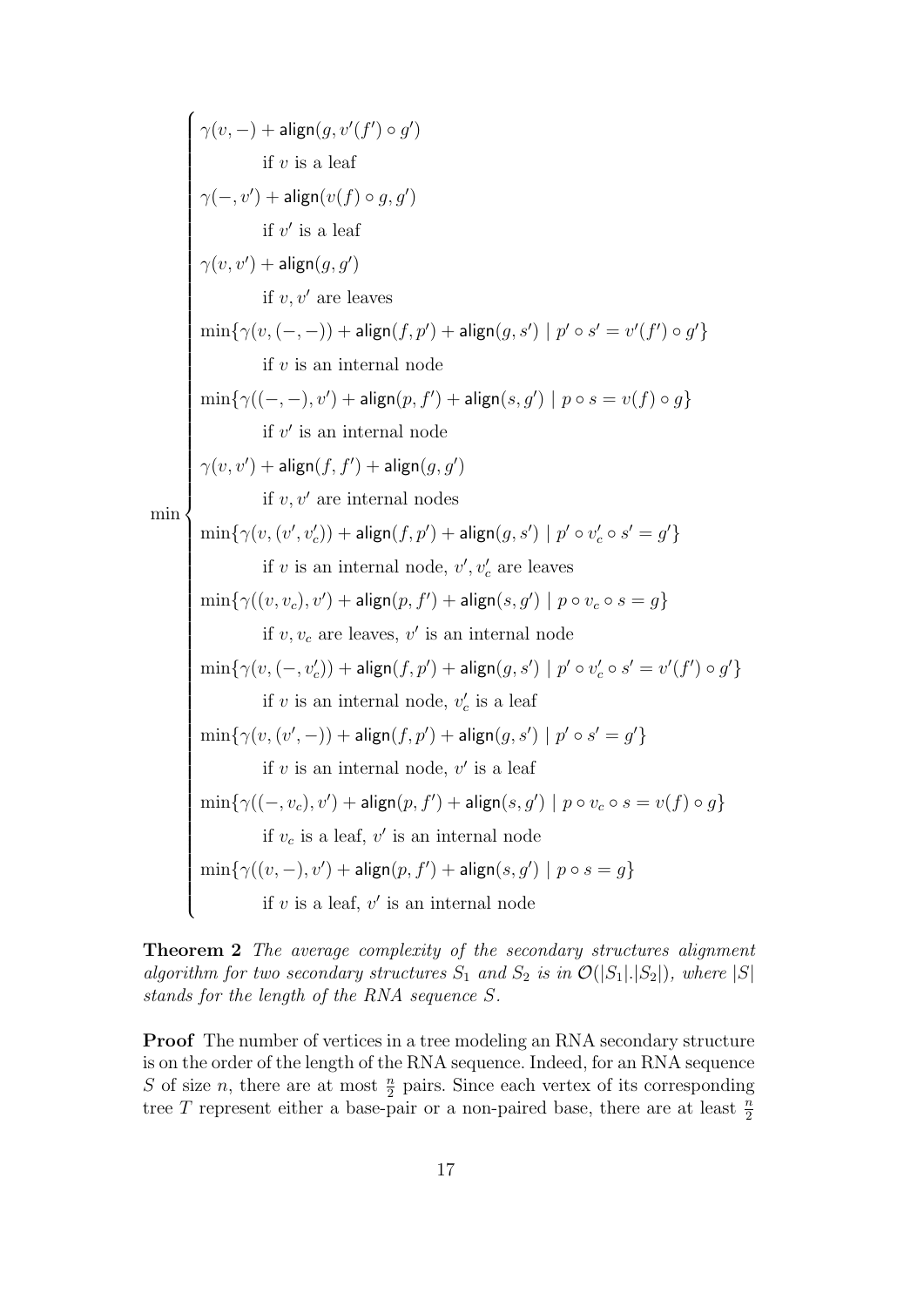min  $\sqrt{ }$   $\gamma(v,-) + \mathsf{align}(g,v'(f') \circ g')$ if  $v$  is a leaf  $\gamma(-,v') + \mathsf{align}(v(f) \circ g, g')$ if  $v'$  is a leaf  $\gamma(v,v') + \mathsf{align}(g,g')$ if  $v, v'$  are leaves  $\min\{\gamma(v,(-,-)) + \textsf{align}(f,p') + \textsf{align}(g,s') \mid p' \circ s' = v'(f') \circ g'\}$ if  $v$  is an internal node  $\min\{\gamma((-, -), v') + \textsf{align}(p, f') + \textsf{align}(s, g') \mid p \circ s = v(f) \circ g\}$ if  $v'$  is an internal node  $\gamma(v,v') + \mathsf{align}(f,f') + \mathsf{align}(g,g')$ if  $v, v'$  are internal nodes  $\min\{\gamma(v,(v',v'_{c})) + \textsf{align}(f,p') + \textsf{align}(g,s') \mid p' \circ v'_{c} \circ s' = g'\}$ if v is an internal node,  $v', v'_c$  are leaves  $\min\{\gamma((v,v_c),v')+\textsf{align}(p,f')+\textsf{align}(s,g')\mid p\circ v_c\circ s=g\}$ if  $v, v_c$  are leaves,  $v'$  is an internal node  $\min\{\gamma(v, (-, v'_c)) + \textsf{align}(f, p') + \textsf{align}(g, s') \mid p' \circ v'_c \circ s' = v'(f') \circ g'\}$ if v is an internal node,  $v'_c$  is a leaf  $\min\{\gamma(v,(v',-)) + \textsf{align}(f,p') + \textsf{align}(g,s') \mid p' \circ s' = g'\}$ if  $v$  is an internal node,  $v'$  is a leaf  $\min\{\gamma((-,v_c),v')+\textsf{align}(p,f')+\textsf{align}(s,g')\mid p\circ v_c\circ s=v(f)\circ g\}$ if  $v_c$  is a leaf,  $v'$  is an internal node  $\min\{\gamma((v,-),v')+\textsf{align}(p,f')+\textsf{align}(s,g')\mid p\circ s=g\}$ if  $v$  is a leaf,  $v'$  is an internal node

Theorem 2 The average complexity of the secondary structures alignment algorithm for two secondary structures  $S_1$  and  $S_2$  is in  $\mathcal{O}(|S_1|,|S_2|)$ , where  $|S|$ stands for the length of the RNA sequence S.

**Proof** The number of vertices in a tree modeling an RNA secondary structure is on the order of the length of the RNA sequence. Indeed, for an RNA sequence S of size n, there are at most  $\frac{n}{2}$  pairs. Since each vertex of its corresponding tree T represent either a base-pair or a non-paired base, there are at least  $\frac{n}{2}$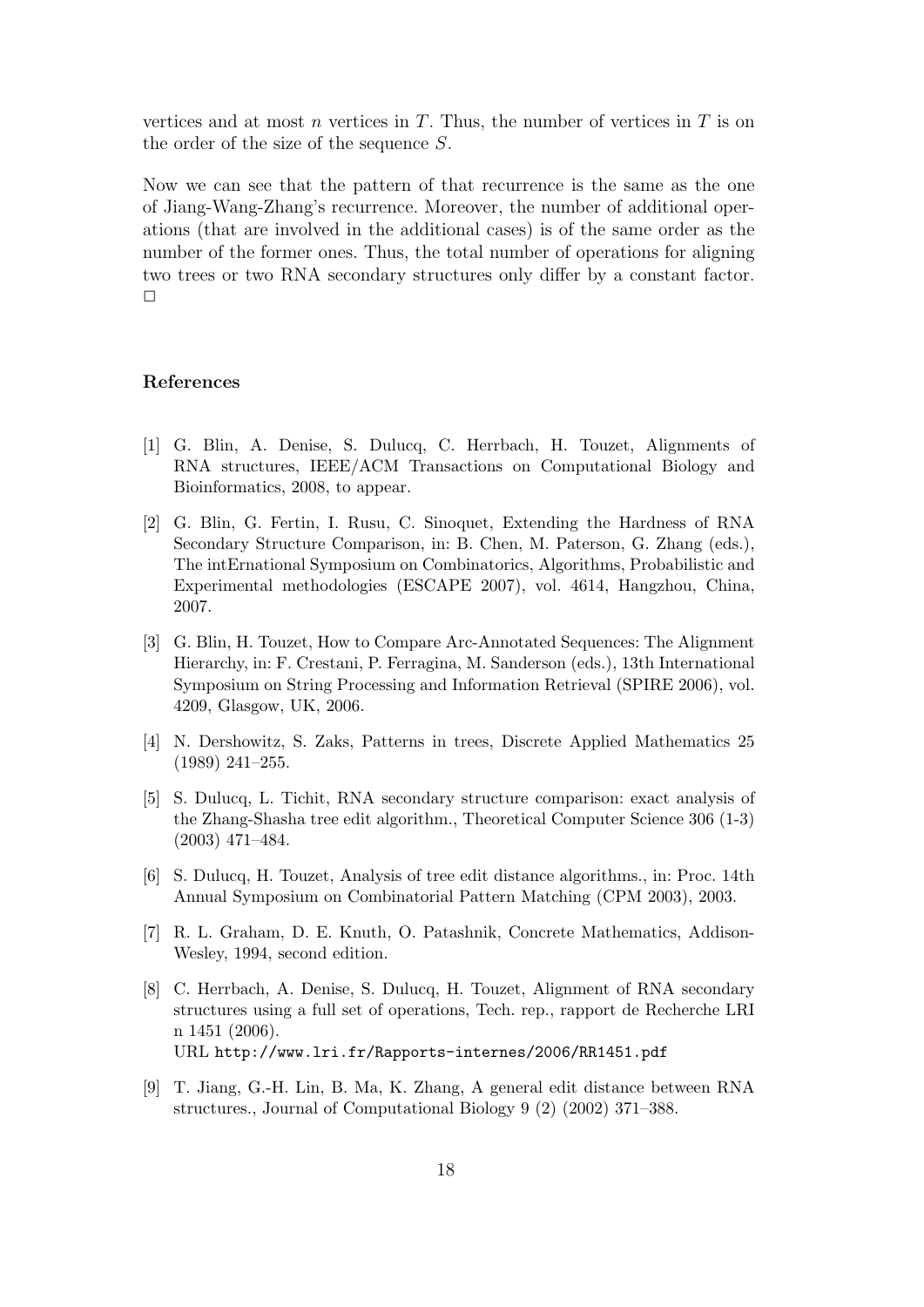vertices and at most  $n$  vertices in  $T$ . Thus, the number of vertices in  $T$  is on the order of the size of the sequence S.

Now we can see that the pattern of that recurrence is the same as the one of Jiang-Wang-Zhang's recurrence. Moreover, the number of additional operations (that are involved in the additional cases) is of the same order as the number of the former ones. Thus, the total number of operations for aligning two trees or two RNA secondary structures only differ by a constant factor.  $\Box$ 

#### References

- [1] G. Blin, A. Denise, S. Dulucq, C. Herrbach, H. Touzet, Alignments of RNA structures, IEEE/ACM Transactions on Computational Biology and Bioinformatics, 2008, to appear.
- [2] G. Blin, G. Fertin, I. Rusu, C. Sinoquet, Extending the Hardness of RNA Secondary Structure Comparison, in: B. Chen, M. Paterson, G. Zhang (eds.), The intErnational Symposium on Combinatorics, Algorithms, Probabilistic and Experimental methodologies (ESCAPE 2007), vol. 4614, Hangzhou, China, 2007.
- [3] G. Blin, H. Touzet, How to Compare Arc-Annotated Sequences: The Alignment Hierarchy, in: F. Crestani, P. Ferragina, M. Sanderson (eds.), 13th International Symposium on String Processing and Information Retrieval (SPIRE 2006), vol. 4209, Glasgow, UK, 2006.
- [4] N. Dershowitz, S. Zaks, Patterns in trees, Discrete Applied Mathematics 25 (1989) 241–255.
- [5] S. Dulucq, L. Tichit, RNA secondary structure comparison: exact analysis of the Zhang-Shasha tree edit algorithm., Theoretical Computer Science 306 (1-3) (2003) 471–484.
- [6] S. Dulucq, H. Touzet, Analysis of tree edit distance algorithms., in: Proc. 14th Annual Symposium on Combinatorial Pattern Matching (CPM 2003), 2003.
- [7] R. L. Graham, D. E. Knuth, O. Patashnik, Concrete Mathematics, Addison-Wesley, 1994, second edition.
- [8] C. Herrbach, A. Denise, S. Dulucq, H. Touzet, Alignment of RNA secondary structures using a full set of operations, Tech. rep., rapport de Recherche LRI n 1451 (2006). URL http://www.lri.fr/Rapports-internes/2006/RR1451.pdf
- [9] T. Jiang, G.-H. Lin, B. Ma, K. Zhang, A general edit distance between RNA structures., Journal of Computational Biology 9 (2) (2002) 371–388.